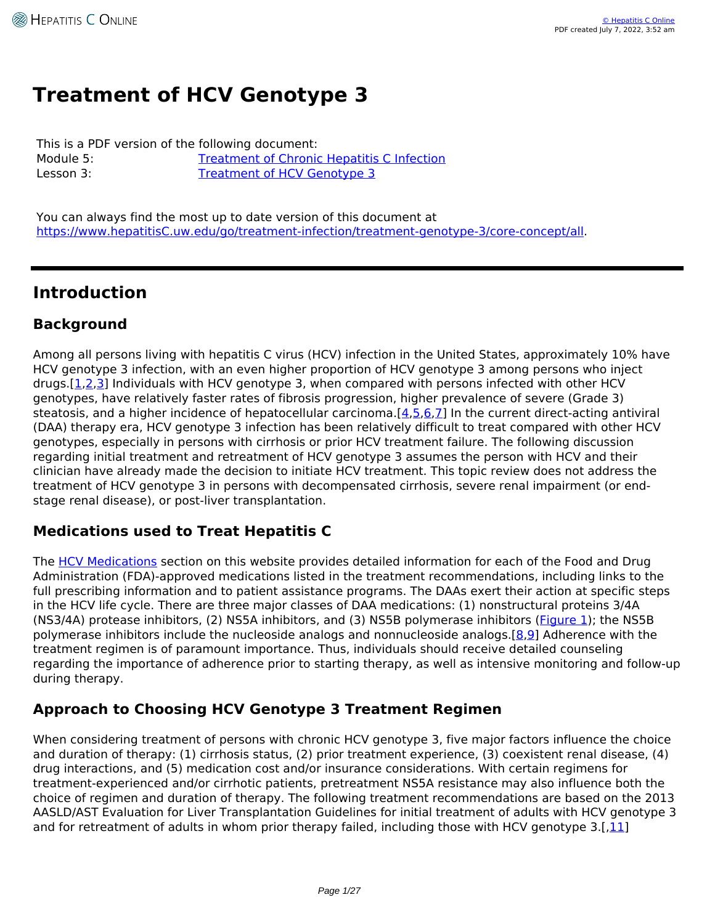# **Treatment of HCV Genotype 3**

This is a PDF version of the following document: Module 5: [Treatment of Chronic Hepatitis C Infection](https://www.hepatitisC.uw.edu/go/treatment-infection) Lesson 3: [Treatment of HCV Genotype 3](https://www.hepatitisC.uw.edu/go/treatment-infection/treatment-genotype-3)

You can always find the most up to date version of this document at <https://www.hepatitisC.uw.edu/go/treatment-infection/treatment-genotype-3/core-concept/all>.

# **Introduction**

## **Background**

Among all persons living with hepatitis C virus (HCV) infection in the United States, approximately 10% have HCV genotype 3 infection, with an even higher proportion of HCV genotype 3 among persons who inject drugs. $[1,2,3]$  $[1,2,3]$  $[1,2,3]$  $[1,2,3]$  $[1,2,3]$  Individuals with HCV genotype 3, when compared with persons infected with other HCV genotypes, have relatively faster rates of fibrosis progression, higher prevalence of severe (Grade 3) steatosis, and a higher incidence of hepatocellular carcinoma.[[4](http://www.ncbi.nlm.nih.gov/pubmed/27765729),[5,](http://www.ncbi.nlm.nih.gov/pubmed/24615981)[6](http://www.ncbi.nlm.nih.gov/pubmed/19665246),[7\]](http://www.ncbi.nlm.nih.gov/pubmed/21914071) In the current direct-acting antiviral (DAA) therapy era, HCV genotype 3 infection has been relatively difficult to treat compared with other HCV genotypes, especially in persons with cirrhosis or prior HCV treatment failure. The following discussion regarding initial treatment and retreatment of HCV genotype 3 assumes the person with HCV and their clinician have already made the decision to initiate HCV treatment. This topic review does not address the treatment of HCV genotype 3 in persons with decompensated cirrhosis, severe renal impairment (or endstage renal disease), or post-liver transplantation.

## **Medications used to Treat Hepatitis C**

The [HCV Medications](http://www.hepatitisc.uw.edu/page/treatment/drugs) section on this website provides detailed information for each of the Food and Drug Administration (FDA)-approved medications listed in the treatment recommendations, including links to the full prescribing information and to patient assistance programs. The DAAs exert their action at specific steps in the HCV life cycle. There are three major classes of DAA medications: (1) nonstructural proteins 3/4A (NS3/4A) protease inhibitors, (2) NS5A inhibitors, and (3) NS5B polymerase inhibitors (*Figure 1*); the NS5B polymerase inhibitors include the nucleoside analogs and nonnucleoside analogs.[\[8](http://www.ncbi.nlm.nih.gov/pubmed/23836234),[9\]](http://www.ncbi.nlm.nih.gov/pubmed/28252637) Adherence with the treatment regimen is of paramount importance. Thus, individuals should receive detailed counseling regarding the importance of adherence prior to starting therapy, as well as intensive monitoring and follow-up during therapy.

## **Approach to Choosing HCV Genotype 3 Treatment Regimen**

When considering treatment of persons with chronic HCV genotype 3, five major factors influence the choice and duration of therapy: (1) cirrhosis status, (2) prior treatment experience, (3) coexistent renal disease, (4) drug interactions, and (5) medication cost and/or insurance considerations. With certain regimens for treatment-experienced and/or cirrhotic patients, pretreatment NS5A resistance may also influence both the choice of regimen and duration of therapy. The following treatment recommendations are based on the 2013 AASLD/AST Evaluation for Liver Transplantation Guidelines for initial treatment of adults with HCV genotype 3 and for retreatment of adults in whom prior therapy failed, including those with HCV genotype  $3.[.11]$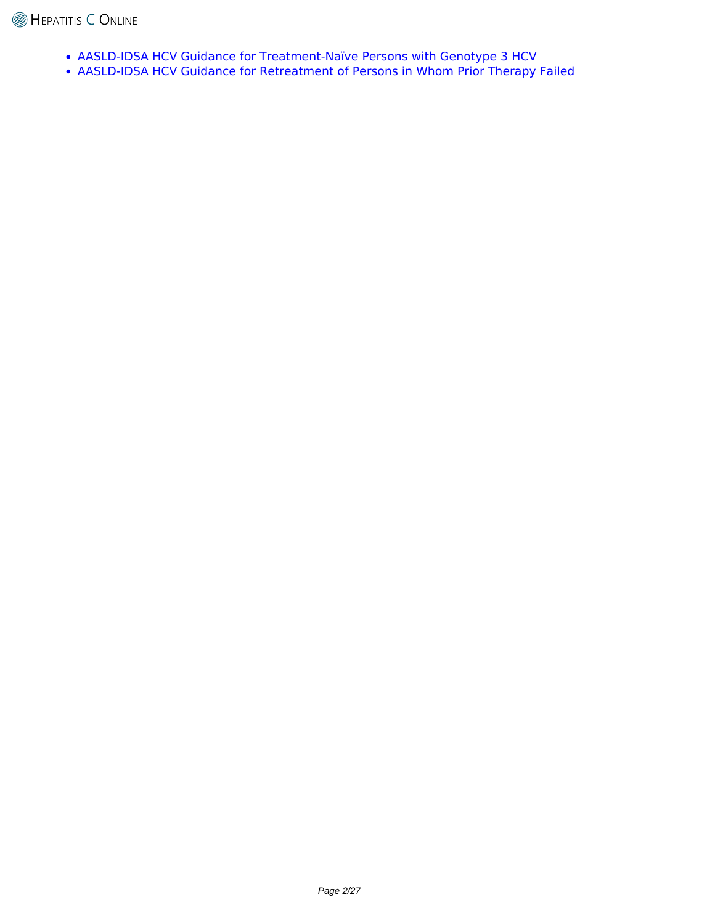- [AASLD-IDSA HCV Guidance for Treatment-Naïve Persons with Genotype 3 HCV](https://www.hcvguidelines.org/treatment-naive/gt3)
- [AASLD-IDSA HCV Guidance for Retreatment of Persons in Whom Prior Therapy Failed](https://www.hcvguidelines.org/treatment-experienced)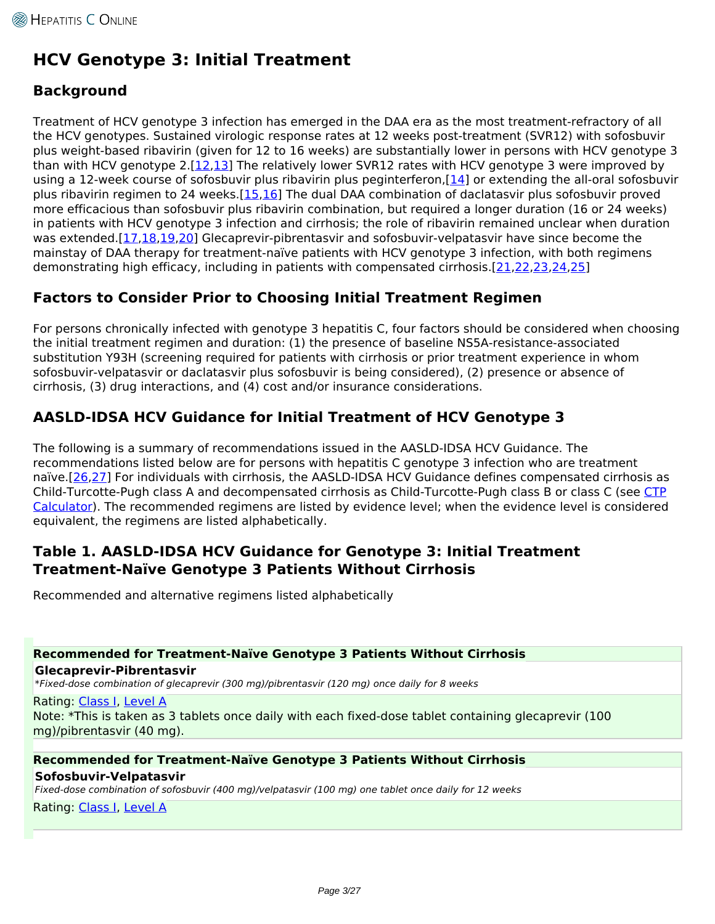# **HCV Genotype 3: Initial Treatment**

## **Background**

Treatment of HCV genotype 3 infection has emerged in the DAA era as the most treatment-refractory of all the HCV genotypes. Sustained virologic response rates at 12 weeks post-treatment (SVR12) with sofosbuvir plus weight-based ribavirin (given for 12 to 16 weeks) are substantially lower in persons with HCV genotype 3 than with HCV genotype  $2.[12,13]$  $2.[12,13]$  $2.[12,13]$  The relatively lower SVR12 rates with HCV genotype 3 were improved by using a 12-week course of sofosbuvir plus ribavirin plus peginterferon,[[14](http://www.ncbi.nlm.nih.gov/pubmed/23281974)] or extending the all-oral sofosbuvir plus ribavirin regimen to 24 weeks.[\[15,](http://www.ncbi.nlm.nih.gov/pubmed/24795201)[16\]](http://www.ncbi.nlm.nih.gov/pubmed/26248087) The dual DAA combination of daclatasvir plus sofosbuvir proved more efficacious than sofosbuvir plus ribavirin combination, but required a longer duration (16 or 24 weeks) in patients with HCV genotype 3 infection and cirrhosis; the role of ribavirin remained unclear when duration was extended.[\[17](http://www.ncbi.nlm.nih.gov/pubmed/25614962)[,18](http://www.ncbi.nlm.nih.gov/pubmed/27188960)[,19](http://www.ncbi.nlm.nih.gov/pubmed/28177199)[,20\]](http://www.ncbi.nlm.nih.gov/pubmed/26560449) Glecaprevir-pibrentasvir and sofosbuvir-velpatasvir have since become the mainstay of DAA therapy for treatment-naïve patients with HCV genotype 3 infection, with both regimens demonstrating high efficacy, including in patients with compensated cirrhosis.[\[21,](http://www.ncbi.nlm.nih.gov/pubmed/26551051)[22,](http://www.ncbi.nlm.nih.gov/pubmed/26575258)[23,](http://www.ncbi.nlm.nih.gov/pubmed/28390869)[24,](http://www.ncbi.nlm.nih.gov/pubmed/28412293)[25](http://www.ncbi.nlm.nih.gov/pubmed/29365309)]

## **Factors to Consider Prior to Choosing Initial Treatment Regimen**

For persons chronically infected with genotype 3 hepatitis C, four factors should be considered when choosing the initial treatment regimen and duration: (1) the presence of baseline NS5A-resistance-associated substitution Y93H (screening required for patients with cirrhosis or prior treatment experience in whom sofosbuvir-velpatasvir or daclatasvir plus sofosbuvir is being considered), (2) presence or absence of cirrhosis, (3) drug interactions, and (4) cost and/or insurance considerations.

## **AASLD-IDSA HCV Guidance for Initial Treatment of HCV Genotype 3**

The following is a summary of recommendations issued in the AASLD-IDSA HCV Guidance. The recommendations listed below are for persons with hepatitis C genotype 3 infection who are treatment naïve.[[26](https://www.hcvguidelines.org/treatment-naive/gt3/no-cirrhosis),[27](https://www.hcvguidelines.org/treatment-naive/gt3/compensated-cirrhosis)] For individuals with cirrhosis, the AASLD-IDSA HCV Guidance defines compensated cirrhosis as Child-Turcotte-Pugh class A and decompensated cirrhosis as Child-Turcotte-Pugh class B or class C (see [CTP](https://www.hepatitisc.uw.edu/page/clinical-calculators/ctp) [Calculator](https://www.hepatitisc.uw.edu/page/clinical-calculators/ctp)). The recommended regimens are listed by evidence level; when the evidence level is considered equivalent, the regimens are listed alphabetically.

## **Table 1. AASLD-IDSA HCV Guidance for Genotype 3: Initial Treatment Treatment-Naïve Genotype 3 Patients Without Cirrhosis**

Recommended and alternative regimens listed alphabetically

### **Recommended for Treatment-Naïve Genotype 3 Patients Without Cirrhosis**

**Glecaprevir-Pibrentasvir**

*\*Fixed-dose combination of glecaprevir (300 mg)/pibrentasvir (120 mg) once daily for 8 weeks*

Rating: [Class I,](https://www.hepatitisC.uw.edu/page/treatment/ratings#class-1) [Level A](https://www.hepatitisC.uw.edu/page/treatment/ratings#level-1) Note: \*This is taken as 3 tablets once daily with each fixed-dose tablet containing glecaprevir (100 mg)/pibrentasvir (40 mg).

### **Recommended for Treatment-Naïve Genotype 3 Patients Without Cirrhosis Sofosbuvir-Velpatasvir**

*Fixed-dose combination of sofosbuvir (400 mg)/velpatasvir (100 mg) one tablet once daily for 12 weeks*

Rating: [Class I,](https://www.hepatitisC.uw.edu/page/treatment/ratings#class-1) [Level A](https://www.hepatitisC.uw.edu/page/treatment/ratings#level-1)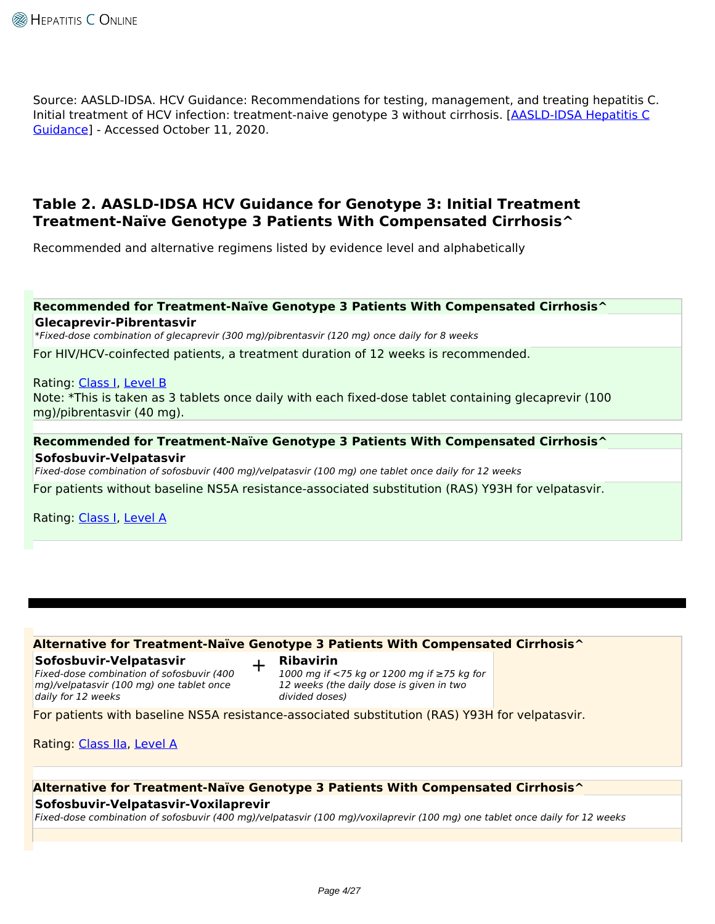Source: AASLD-IDSA. HCV Guidance: Recommendations for testing, management, and treating hepatitis C. Initial treatment of HCV infection: treatment-naive genotype 3 without cirrhosis. [[AASLD-IDSA Hepatitis C](https://www.hcvguidelines.org/treatment-naive/gt3/no-cirrhosis) [Guidance\]](https://www.hcvguidelines.org/treatment-naive/gt3/no-cirrhosis) - Accessed October 11, 2020.

## **Table 2. AASLD-IDSA HCV Guidance for Genotype 3: Initial Treatment Treatment-Naïve Genotype 3 Patients With Compensated Cirrhosis^**

Recommended and alternative regimens listed by evidence level and alphabetically

# **Recommended for Treatment-Naïve Genotype 3 Patients With Compensated Cirrhosis^**

**Glecaprevir-Pibrentasvir**

*\*Fixed-dose combination of glecaprevir (300 mg)/pibrentasvir (120 mg) once daily for 8 weeks*

For HIV/HCV-coinfected patients, a treatment duration of 12 weeks is recommended.

Rating: [Class I,](https://www.hepatitisC.uw.edu/page/treatment/ratings#class-1) [Level B](https://www.hepatitisC.uw.edu/page/treatment/ratings#level-2)

Note: \*This is taken as 3 tablets once daily with each fixed-dose tablet containing glecaprevir (100 mg)/pibrentasvir (40 mg).

# **Recommended for Treatment-Naïve Genotype 3 Patients With Compensated Cirrhosis^**

**Sofosbuvir-Velpatasvir**

*Fixed-dose combination of sofosbuvir (400 mg)/velpatasvir (100 mg) one tablet once daily for 12 weeks*

For patients without baseline NS5A resistance-associated substitution (RAS) Y93H for velpatasvir.

Rating: [Class I,](https://www.hepatitisC.uw.edu/page/treatment/ratings#class-1) [Level A](https://www.hepatitisC.uw.edu/page/treatment/ratings#level-1)

### **Alternative for Treatment-Naïve Genotype 3 Patients With Compensated Cirrhosis^**

#### **Sofosbuvir-Velpatasvir**

*Fixed-dose combination of sofosbuvir (400 mg)/velpatasvir (100 mg) one tablet once daily for 12 weeks*

+ **Ribavirin**

*1000 mg if <75 kg or 1200 mg if ≥75 kg for 12 weeks (the daily dose is given in two divided doses)*

For patients with baseline NS5A resistance-associated substitution (RAS) Y93H for velpatasvir.

Rating: [Class IIa,](https://www.hepatitisC.uw.edu/page/treatment/ratings#class-3) [Level A](https://www.hepatitisC.uw.edu/page/treatment/ratings#level-1)

### **Alternative for Treatment-Naïve Genotype 3 Patients With Compensated Cirrhosis^**

#### **Sofosbuvir-Velpatasvir-Voxilaprevir**

*Fixed-dose combination of sofosbuvir (400 mg)/velpatasvir (100 mg)/voxilaprevir (100 mg) one tablet once daily for 12 weeks*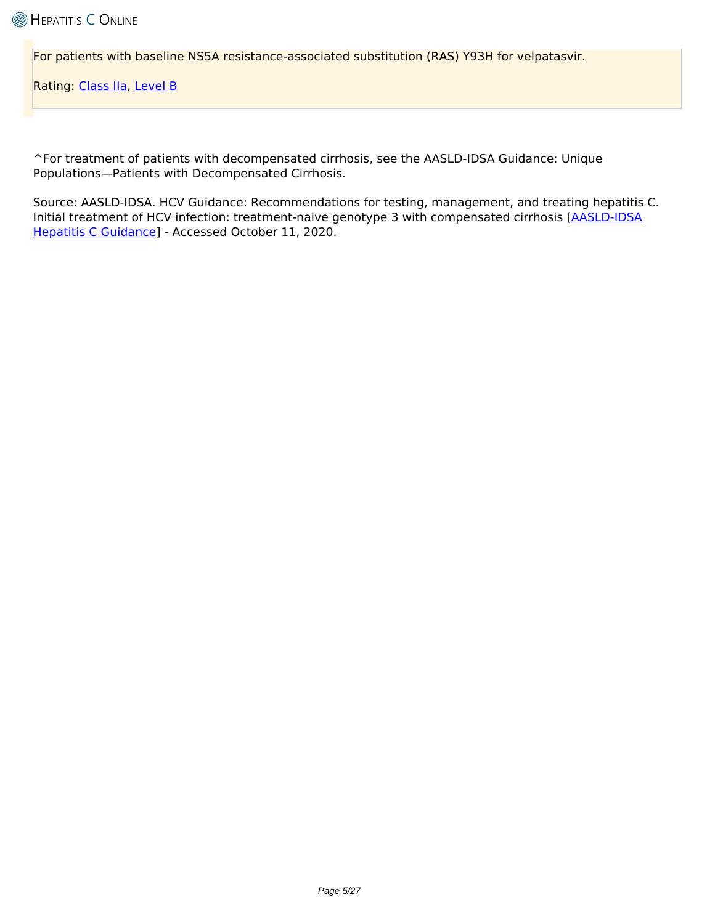For patients with baseline NS5A resistance-associated substitution (RAS) Y93H for velpatasvir.

Rating: [Class IIa,](https://www.hepatitisC.uw.edu/page/treatment/ratings#class-3) [Level B](https://www.hepatitisC.uw.edu/page/treatment/ratings#level-2)

^For treatment of patients with decompensated cirrhosis, see the AASLD-IDSA Guidance: Unique Populations—Patients with Decompensated Cirrhosis.

Source: AASLD-IDSA. HCV Guidance: Recommendations for testing, management, and treating hepatitis C. Initial treatment of HCV infection: treatment-naive genotype 3 with compensated cirrhosis [\[AASLD-IDSA](https://www.hcvguidelines.org/treatment-naive/gt3/compensated-cirrhosis) [Hepatitis C Guidance\]](https://www.hcvguidelines.org/treatment-naive/gt3/compensated-cirrhosis) - Accessed October 11, 2020.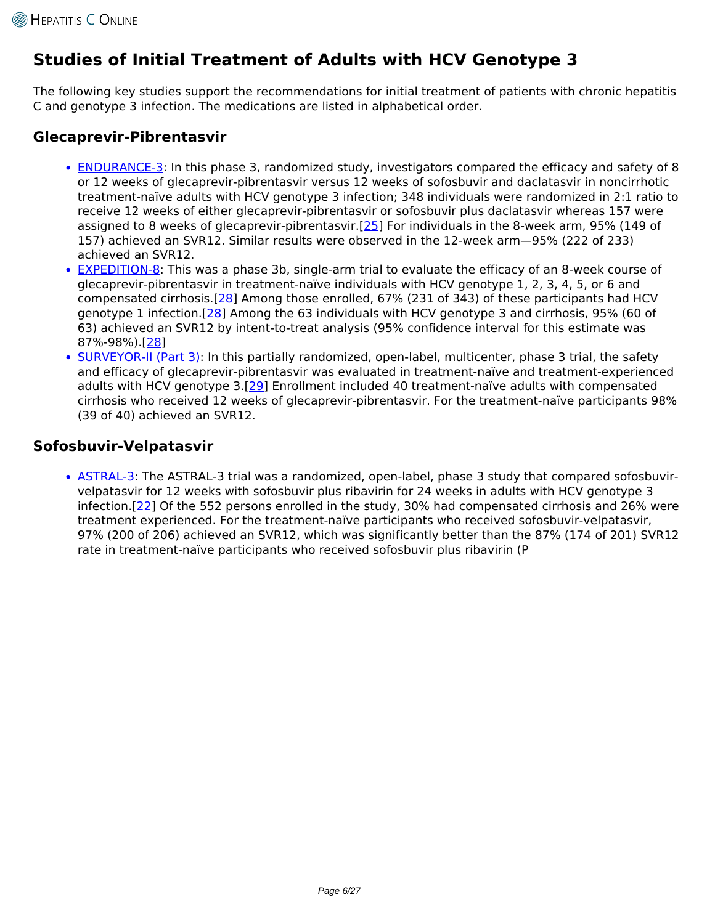# **Studies of Initial Treatment of Adults with HCV Genotype 3**

The following key studies support the recommendations for initial treatment of patients with chronic hepatitis C and genotype 3 infection. The medications are listed in alphabetical order.

## **Glecaprevir-Pibrentasvir**

- [ENDURANCE-3:](https://www.hepatitisC.uw.edu/page/treatment/clinical-trials/122) In this phase 3, randomized study, investigators compared the efficacy and safety of 8 or 12 weeks of glecaprevir-pibrentasvir versus 12 weeks of sofosbuvir and daclatasvir in noncirrhotic treatment-naïve adults with HCV genotype 3 infection; 348 individuals were randomized in 2:1 ratio to receive 12 weeks of either glecaprevir-pibrentasvir or sofosbuvir plus daclatasvir whereas 157 were assigned to 8 weeks of glecaprevir-pibrentasvir.[[25](http://www.ncbi.nlm.nih.gov/pubmed/29365309)] For individuals in the 8-week arm, 95% (149 of 157) achieved an SVR12. Similar results were observed in the 12-week arm—95% (222 of 233) achieved an SVR12.
- [EXPEDITION-8](https://www.hepatitisC.uw.edu/page/treatment/clinical-trials/142): This was a phase 3b, single-arm trial to evaluate the efficacy of an 8-week course of glecaprevir-pibrentasvir in treatment-naïve individuals with HCV genotype 1, 2, 3, 4, 5, or 6 and compensated cirrhosis.[[28\]](http://www.ncbi.nlm.nih.gov/pubmed/31682879) Among those enrolled, 67% (231 of 343) of these participants had HCV genotype 1 infection.[\[28\]](http://www.ncbi.nlm.nih.gov/pubmed/31682879) Among the 63 individuals with HCV genotype 3 and cirrhosis, 95% (60 of 63) achieved an SVR12 by intent-to-treat analysis (95% confidence interval for this estimate was 87%-98%).[[28](http://www.ncbi.nlm.nih.gov/pubmed/31682879)]
- [SURVEYOR-II \(Part 3\)](https://www.hepatitisC.uw.edu/page/treatment/clinical-trials/133): In this partially randomized, open-label, multicenter, phase 3 trial, the safety and efficacy of glecaprevir-pibrentasvir was evaluated in treatment-naïve and treatment-experienced adults with HCV genotype 3.[\[29\]](http://www.ncbi.nlm.nih.gov/pubmed/28926120) Enrollment included 40 treatment-naïve adults with compensated cirrhosis who received 12 weeks of glecaprevir-pibrentasvir. For the treatment-naïve participants 98% (39 of 40) achieved an SVR12.

## **Sofosbuvir-Velpatasvir**

• [ASTRAL-3](https://www.hepatitisC.uw.edu/page/treatment/clinical-trials/114): The ASTRAL-3 trial was a randomized, open-label, phase 3 study that compared sofosbuvirvelpatasvir for 12 weeks with sofosbuvir plus ribavirin for 24 weeks in adults with HCV genotype 3 infection.[\[22\]](http://www.ncbi.nlm.nih.gov/pubmed/26575258) Of the 552 persons enrolled in the study, 30% had compensated cirrhosis and 26% were treatment experienced. For the treatment-naïve participants who received sofosbuvir-velpatasvir, 97% (200 of 206) achieved an SVR12, which was significantly better than the 87% (174 of 201) SVR12 rate in treatment-naïve participants who received sofosbuvir plus ribavirin (P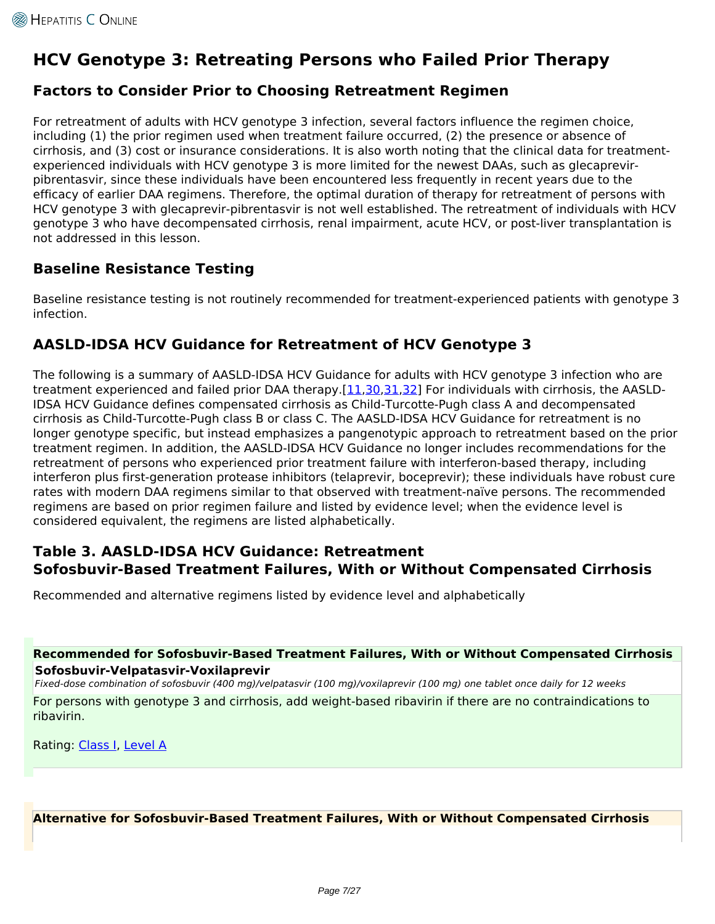# **HCV Genotype 3: Retreating Persons who Failed Prior Therapy**

## **Factors to Consider Prior to Choosing Retreatment Regimen**

For retreatment of adults with HCV genotype 3 infection, several factors influence the regimen choice, including (1) the prior regimen used when treatment failure occurred, (2) the presence or absence of cirrhosis, and (3) cost or insurance considerations. It is also worth noting that the clinical data for treatmentexperienced individuals with HCV genotype 3 is more limited for the newest DAAs, such as glecaprevirpibrentasvir, since these individuals have been encountered less frequently in recent years due to the efficacy of earlier DAA regimens. Therefore, the optimal duration of therapy for retreatment of persons with HCV genotype 3 with glecaprevir-pibrentasvir is not well established. The retreatment of individuals with HCV genotype 3 who have decompensated cirrhosis, renal impairment, acute HCV, or post-liver transplantation is not addressed in this lesson.

## **Baseline Resistance Testing**

Baseline resistance testing is not routinely recommended for treatment-experienced patients with genotype 3 infection.

## **AASLD-IDSA HCV Guidance for Retreatment of HCV Genotype 3**

The following is a summary of AASLD-IDSA HCV Guidance for adults with HCV genotype 3 infection who are treatment experienced and failed prior DAA therapy.[\[11,](https://www.hcvguidelines.org/treatment-experienced)[30,](https://www.hcvguidelines.org/treatment-experienced/g-p-failures)[31,](https://www.hcvguidelines.org/treatment-experienced/multiple-daa-failure)[32\]](https://www.hcvguidelines.org/treatment-experienced/sof-and-elb-grz-failures) For individuals with cirrhosis, the AASLD-IDSA HCV Guidance defines compensated cirrhosis as Child-Turcotte-Pugh class A and decompensated cirrhosis as Child-Turcotte-Pugh class B or class C. The AASLD-IDSA HCV Guidance for retreatment is no longer genotype specific, but instead emphasizes a pangenotypic approach to retreatment based on the prior treatment regimen. In addition, the AASLD-IDSA HCV Guidance no longer includes recommendations for the retreatment of persons who experienced prior treatment failure with interferon-based therapy, including interferon plus first-generation protease inhibitors (telaprevir, boceprevir); these individuals have robust cure rates with modern DAA regimens similar to that observed with treatment-naïve persons. The recommended regimens are based on prior regimen failure and listed by evidence level; when the evidence level is considered equivalent, the regimens are listed alphabetically.

## **Table 3. AASLD-IDSA HCV Guidance: Retreatment Sofosbuvir-Based Treatment Failures, With or Without Compensated Cirrhosis**

Recommended and alternative regimens listed by evidence level and alphabetically

### **Recommended for Sofosbuvir-Based Treatment Failures, With or Without Compensated Cirrhosis Sofosbuvir-Velpatasvir-Voxilaprevir**

*Fixed-dose combination of sofosbuvir (400 mg)/velpatasvir (100 mg)/voxilaprevir (100 mg) one tablet once daily for 12 weeks*

For persons with genotype 3 and cirrhosis, add weight-based ribavirin if there are no contraindications to ribavirin.

Rating: [Class I,](https://www.hepatitisC.uw.edu/page/treatment/ratings#class-1) [Level A](https://www.hepatitisC.uw.edu/page/treatment/ratings#level-1)

### **Alternative for Sofosbuvir-Based Treatment Failures, With or Without Compensated Cirrhosis**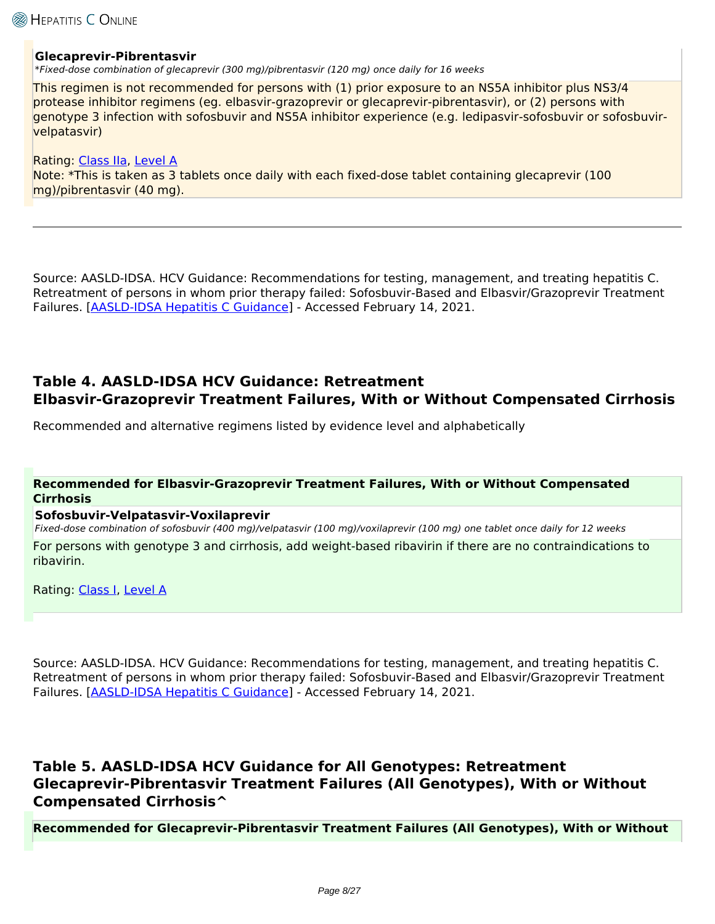### **Glecaprevir-Pibrentasvir**

*\*Fixed-dose combination of glecaprevir (300 mg)/pibrentasvir (120 mg) once daily for 16 weeks*

This regimen is not recommended for persons with (1) prior exposure to an NS5A inhibitor plus NS3/4 protease inhibitor regimens (eg. elbasvir-grazoprevir or glecaprevir-pibrentasvir), or (2) persons with genotype 3 infection with sofosbuvir and NS5A inhibitor experience (e.g. ledipasvir-sofosbuvir or sofosbuvirvelpatasvir)

Rating: [Class IIa,](https://www.hepatitisC.uw.edu/page/treatment/ratings#class-3) [Level A](https://www.hepatitisC.uw.edu/page/treatment/ratings#level-1) Note: \*This is taken as 3 tablets once daily with each fixed-dose tablet containing glecaprevir (100 mg)/pibrentasvir (40 mg).

Source: AASLD-IDSA. HCV Guidance: Recommendations for testing, management, and treating hepatitis C. Retreatment of persons in whom prior therapy failed: Sofosbuvir-Based and Elbasvir/Grazoprevir Treatment Failures. [[AASLD-IDSA Hepatitis C Guidance](https://www.hcvguidelines.org/treatment-experienced/sof-and-elb-grz-failures)] - Accessed February 14, 2021.

## **Table 4. AASLD-IDSA HCV Guidance: Retreatment Elbasvir-Grazoprevir Treatment Failures, With or Without Compensated Cirrhosis**

Recommended and alternative regimens listed by evidence level and alphabetically

### **Recommended for Elbasvir-Grazoprevir Treatment Failures, With or Without Compensated Cirrhosis**

#### **Sofosbuvir-Velpatasvir-Voxilaprevir**

*Fixed-dose combination of sofosbuvir (400 mg)/velpatasvir (100 mg)/voxilaprevir (100 mg) one tablet once daily for 12 weeks* For persons with genotype 3 and cirrhosis, add weight-based ribavirin if there are no contraindications to ribavirin.

Rating: [Class I,](https://www.hepatitisC.uw.edu/page/treatment/ratings#class-1) [Level A](https://www.hepatitisC.uw.edu/page/treatment/ratings#level-1)

Source: AASLD-IDSA. HCV Guidance: Recommendations for testing, management, and treating hepatitis C. Retreatment of persons in whom prior therapy failed: Sofosbuvir-Based and Elbasvir/Grazoprevir Treatment Failures. [[AASLD-IDSA Hepatitis C Guidance](https://www.hcvguidelines.org/treatment-experienced/sof-and-elb-grz-failures)] - Accessed February 14, 2021.

## **Table 5. AASLD-IDSA HCV Guidance for All Genotypes: Retreatment Glecaprevir-Pibrentasvir Treatment Failures (All Genotypes), With or Without Compensated Cirrhosis^**

**Recommended for Glecaprevir-Pibrentasvir Treatment Failures (All Genotypes), With or Without**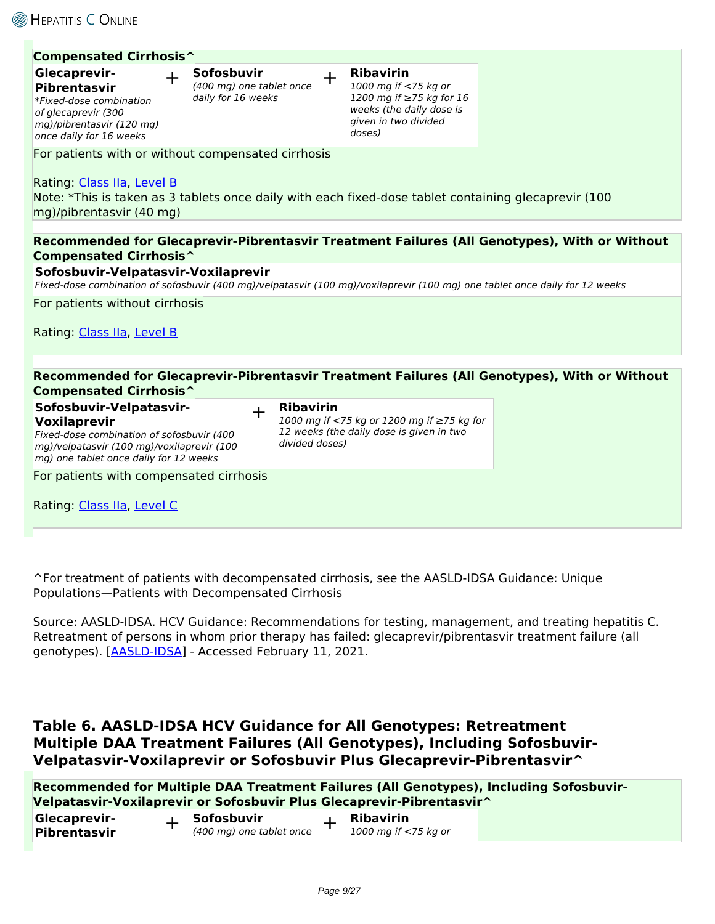**Glecaprevir-**

### **Compensated Cirrhosis^**

## + **Sofosbuvir**

**Pibrentasvir** *\*Fixed-dose combination of glecaprevir (300 mg)/pibrentasvir (120 mg) once daily for 16 weeks*

*(400 mg) one tablet once daily for 16 weeks*

| ┶ | <b>Ribavirin</b>     |
|---|----------------------|
|   | 1000 mg if <75 kg or |

*1200 mg if ≥75 kg for 16 weeks (the daily dose is given in two divided doses)*

For patients with or without compensated cirrhosis

Rating: [Class IIa,](https://www.hepatitisC.uw.edu/page/treatment/ratings#class-3) [Level B](https://www.hepatitisC.uw.edu/page/treatment/ratings#level-2) Note: \*This is taken as 3 tablets once daily with each fixed-dose tablet containing glecaprevir (100 mg)/pibrentasvir (40 mg)

**Recommended for Glecaprevir-Pibrentasvir Treatment Failures (All Genotypes), With or Without Compensated Cirrhosis^**

#### **Sofosbuvir-Velpatasvir-Voxilaprevir**

*Fixed-dose combination of sofosbuvir (400 mg)/velpatasvir (100 mg)/voxilaprevir (100 mg) one tablet once daily for 12 weeks*

For patients without cirrhosis

Rating: [Class IIa,](https://www.hepatitisC.uw.edu/page/treatment/ratings#class-3) [Level B](https://www.hepatitisC.uw.edu/page/treatment/ratings#level-2)

| <b>Compensated Cirrhosis^</b>                                                                                                                                                | Recommended for Glecaprevir-Pibrentasvir Treatment Failures (All Genotypes), With or Without                                 |  |
|------------------------------------------------------------------------------------------------------------------------------------------------------------------------------|------------------------------------------------------------------------------------------------------------------------------|--|
| Sofosbuvir-Velpatasvir-<br>Voxilaprevir<br>Fixed-dose combination of sofosbuvir (400<br>mg)/velpatasvir (100 mg)/voxilaprevir (100<br>mg) one tablet once daily for 12 weeks | <b>Ribavirin</b><br>1000 mg if <75 kg or 1200 mg if ≥75 kg for<br>12 weeks (the daily dose is given in two<br>divided doses) |  |
| For patients with compensated cirrhosis<br>Rating: Class IIa, Level C                                                                                                        |                                                                                                                              |  |

^For treatment of patients with decompensated cirrhosis, see the AASLD-IDSA Guidance: Unique Populations—Patients with Decompensated Cirrhosis

Source: AASLD-IDSA. HCV Guidance: Recommendations for testing, management, and treating hepatitis C. Retreatment of persons in whom prior therapy has failed: glecaprevir/pibrentasvir treatment failure (all genotypes). [\[AASLD-IDSA\]](https://www.hcvguidelines.org/treatment-experienced/g-p-failures) - Accessed February 11, 2021.

## **Table 6. AASLD-IDSA HCV Guidance for All Genotypes: Retreatment Multiple DAA Treatment Failures (All Genotypes), Including Sofosbuvir-Velpatasvir-Voxilaprevir or Sofosbuvir Plus Glecaprevir-Pibrentasvir^**

**Recommended for Multiple DAA Treatment Failures (All Genotypes), Including Sofosbuvir-Velpatasvir-Voxilaprevir or Sofosbuvir Plus Glecaprevir-Pibrentasvir^**

| Glecaprevir- | Sofosbuvir               | Ribavirin            |
|--------------|--------------------------|----------------------|
| Pibrentasvir | (400 mg) one tablet once | 1000 mg if <75 kg or |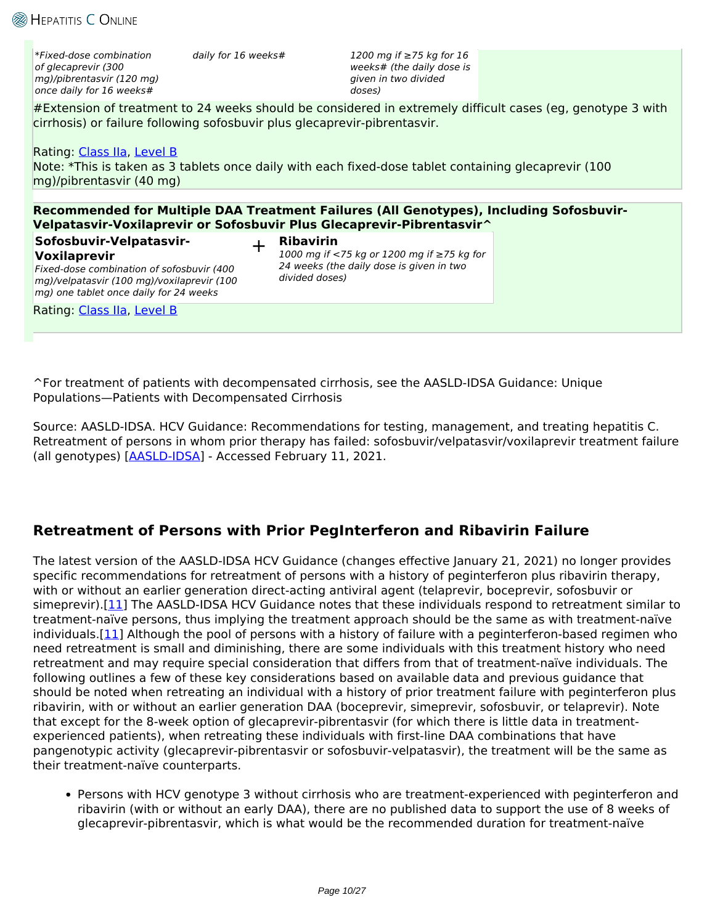*\*Fixed-dose combination of glecaprevir (300 mg)/pibrentasvir (120 mg) once daily for 16 weeks#*

*daily for 16 weeks# 1200 mg if ≥75 kg for 16 weeks# (the daily dose is given in two divided doses)*

#Extension of treatment to 24 weeks should be considered in extremely difficult cases (eg, genotype 3 with cirrhosis) or failure following sofosbuvir plus glecaprevir-pibrentasvir.

### Rating: [Class IIa,](https://www.hepatitisC.uw.edu/page/treatment/ratings#class-3) [Level B](https://www.hepatitisC.uw.edu/page/treatment/ratings#level-2)

Note: \*This is taken as 3 tablets once daily with each fixed-dose tablet containing glecaprevir (100 mg)/pibrentasvir (40 mg)

**Recommended for Multiple DAA Treatment Failures (All Genotypes), Including Sofosbuvir-Velpatasvir-Voxilaprevir or Sofosbuvir Plus Glecaprevir-Pibrentasvir^**

## **Sofosbuvir-Velpatasvir-Voxilaprevir**

### + **Ribavirin**

*Fixed-dose combination of sofosbuvir (400 mg)/velpatasvir (100 mg)/voxilaprevir (100 mg) one tablet once daily for 24 weeks*

*1000 mg if <75 kg or 1200 mg if ≥75 kg for 24 weeks (the daily dose is given in two divided doses)*

Rating: [Class IIa,](https://www.hepatitisC.uw.edu/page/treatment/ratings#class-3) [Level B](https://www.hepatitisC.uw.edu/page/treatment/ratings#level-2)

^For treatment of patients with decompensated cirrhosis, see the AASLD-IDSA Guidance: Unique Populations—Patients with Decompensated Cirrhosis

Source: AASLD-IDSA. HCV Guidance: Recommendations for testing, management, and treating hepatitis C. Retreatment of persons in whom prior therapy has failed: sofosbuvir/velpatasvir/voxilaprevir treatment failure (all genotypes) [[AASLD-IDSA](https://www.hcvguidelines.org/treatment-experienced/multiple-daa-failure)] - Accessed February 11, 2021.

## **Retreatment of Persons with Prior PegInterferon and Ribavirin Failure**

The latest version of the AASLD-IDSA HCV Guidance (changes effective January 21, 2021) no longer provides specific recommendations for retreatment of persons with a history of peginterferon plus ribavirin therapy, with or without an earlier generation direct-acting antiviral agent (telaprevir, boceprevir, sofosbuvir or simeprevir).[[11](https://www.hcvguidelines.org/treatment-experienced)] The AASLD-IDSA HCV Guidance notes that these individuals respond to retreatment similar to treatment-naïve persons, thus implying the treatment approach should be the same as with treatment-naïve individuals.[\[11\]](https://www.hcvguidelines.org/treatment-experienced) Although the pool of persons with a history of failure with a peginterferon-based regimen who need retreatment is small and diminishing, there are some individuals with this treatment history who need retreatment and may require special consideration that differs from that of treatment-naïve individuals. The following outlines a few of these key considerations based on available data and previous guidance that should be noted when retreating an individual with a history of prior treatment failure with peginterferon plus ribavirin, with or without an earlier generation DAA (boceprevir, simeprevir, sofosbuvir, or telaprevir). Note that except for the 8-week option of glecaprevir-pibrentasvir (for which there is little data in treatmentexperienced patients), when retreating these individuals with first-line DAA combinations that have pangenotypic activity (glecaprevir-pibrentasvir or sofosbuvir-velpatasvir), the treatment will be the same as their treatment-naïve counterparts.

Persons with HCV genotype 3 without cirrhosis who are treatment-experienced with peginterferon and ribavirin (with or without an early DAA), there are no published data to support the use of 8 weeks of glecaprevir-pibrentasvir, which is what would be the recommended duration for treatment-naïve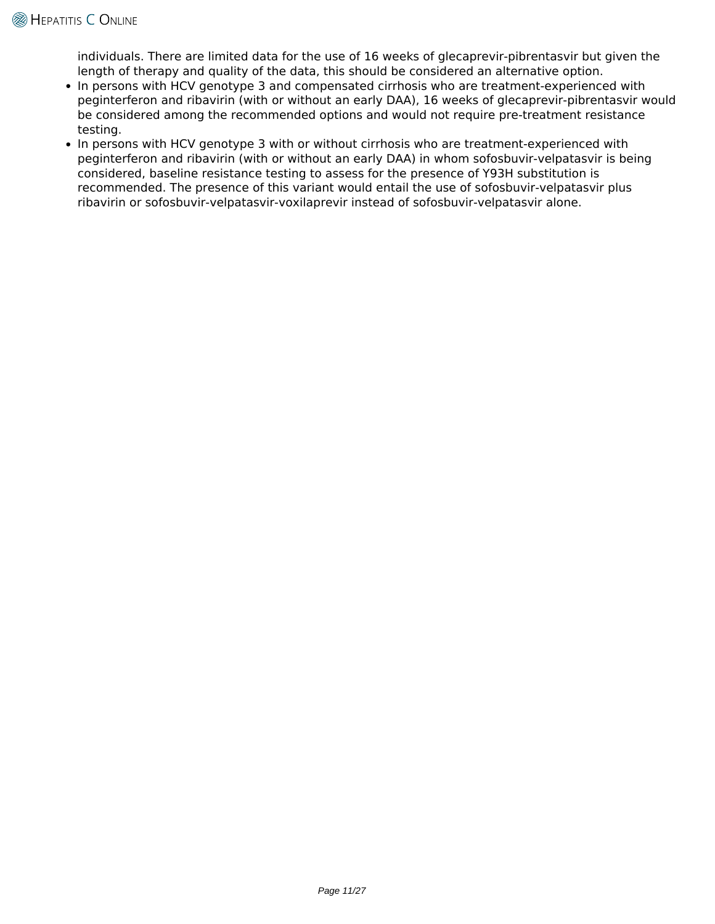individuals. There are limited data for the use of 16 weeks of glecaprevir-pibrentasvir but given the length of therapy and quality of the data, this should be considered an alternative option.

- In persons with HCV genotype 3 and compensated cirrhosis who are treatment-experienced with peginterferon and ribavirin (with or without an early DAA), 16 weeks of glecaprevir-pibrentasvir would be considered among the recommended options and would not require pre-treatment resistance testing.
- In persons with HCV genotype 3 with or without cirrhosis who are treatment-experienced with peginterferon and ribavirin (with or without an early DAA) in whom sofosbuvir-velpatasvir is being considered, baseline resistance testing to assess for the presence of Y93H substitution is recommended. The presence of this variant would entail the use of sofosbuvir-velpatasvir plus ribavirin or sofosbuvir-velpatasvir-voxilaprevir instead of sofosbuvir-velpatasvir alone.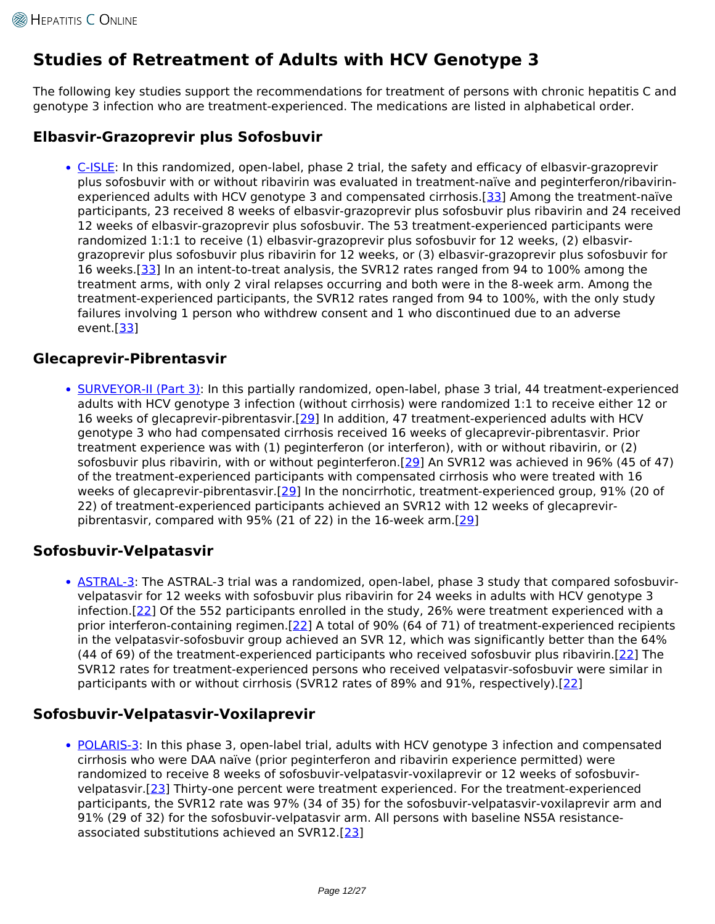# **Studies of Retreatment of Adults with HCV Genotype 3**

The following key studies support the recommendations for treatment of persons with chronic hepatitis C and genotype 3 infection who are treatment-experienced. The medications are listed in alphabetical order.

## **Elbasvir-Grazoprevir plus Sofosbuvir**

• [C-ISLE](https://www.hepatitisC.uw.edu/page/treatment/clinical-trials/138): In this randomized, open-label, phase 2 trial, the safety and efficacy of elbasvir-grazoprevir plus sofosbuvir with or without ribavirin was evaluated in treatment-naïve and peginterferon/ribavirinexperienced adults with HCV genotype 3 and compensated cirrhosis.[[33\]](http://www.ncbi.nlm.nih.gov/pubmed/29473975) Among the treatment-naïve participants, 23 received 8 weeks of elbasvir-grazoprevir plus sofosbuvir plus ribavirin and 24 received 12 weeks of elbasvir-grazoprevir plus sofosbuvir. The 53 treatment-experienced participants were randomized 1:1:1 to receive (1) elbasvir-grazoprevir plus sofosbuvir for 12 weeks, (2) elbasvirgrazoprevir plus sofosbuvir plus ribavirin for 12 weeks, or (3) elbasvir-grazoprevir plus sofosbuvir for 16 weeks.[[33\]](http://www.ncbi.nlm.nih.gov/pubmed/29473975) In an intent-to-treat analysis, the SVR12 rates ranged from 94 to 100% among the treatment arms, with only 2 viral relapses occurring and both were in the 8-week arm. Among the treatment-experienced participants, the SVR12 rates ranged from 94 to 100%, with the only study failures involving 1 person who withdrew consent and 1 who discontinued due to an adverse event.[\[33\]](http://www.ncbi.nlm.nih.gov/pubmed/29473975)

## **Glecaprevir-Pibrentasvir**

• [SURVEYOR-II \(Part 3\)](https://www.hepatitisC.uw.edu/page/treatment/clinical-trials/133): In this partially randomized, open-label, phase 3 trial, 44 treatment-experienced adults with HCV genotype 3 infection (without cirrhosis) were randomized 1:1 to receive either 12 or 16 weeks of glecaprevir-pibrentasvir.[\[29\]](http://www.ncbi.nlm.nih.gov/pubmed/28926120) In addition, 47 treatment-experienced adults with HCV genotype 3 who had compensated cirrhosis received 16 weeks of glecaprevir-pibrentasvir. Prior treatment experience was with (1) peginterferon (or interferon), with or without ribavirin, or (2) sofosbuvir plus ribavirin, with or without peginterferon.[[29\]](http://www.ncbi.nlm.nih.gov/pubmed/28926120) An SVR12 was achieved in 96% (45 of 47) of the treatment-experienced participants with compensated cirrhosis who were treated with 16 weeks of glecaprevir-pibrentasvir.[\[29\]](http://www.ncbi.nlm.nih.gov/pubmed/28926120) In the noncirrhotic, treatment-experienced group, 91% (20 of 22) of treatment-experienced participants achieved an SVR12 with 12 weeks of glecaprevirpibrentasvir, compared with 95% (21 of 22) in the 16-week arm.[[29](http://www.ncbi.nlm.nih.gov/pubmed/28926120)]

## **Sofosbuvir-Velpatasvir**

• [ASTRAL-3](https://www.hepatitisC.uw.edu/page/treatment/clinical-trials/114): The ASTRAL-3 trial was a randomized, open-label, phase 3 study that compared sofosbuvirvelpatasvir for 12 weeks with sofosbuvir plus ribavirin for 24 weeks in adults with HCV genotype 3 infection.[\[22\]](http://www.ncbi.nlm.nih.gov/pubmed/26575258) Of the 552 participants enrolled in the study, 26% were treatment experienced with a prior interferon-containing regimen.[[22\]](http://www.ncbi.nlm.nih.gov/pubmed/26575258) A total of 90% (64 of 71) of treatment-experienced recipients in the velpatasvir-sofosbuvir group achieved an SVR 12, which was significantly better than the 64% (44 of 69) of the treatment-experienced participants who received sofosbuvir plus ribavirin.[\[22](http://www.ncbi.nlm.nih.gov/pubmed/26575258)] The SVR12 rates for treatment-experienced persons who received velpatasvir-sofosbuvir were similar in participants with or without cirrhosis (SVR12 rates of 89% and 91%, respectively).[\[22](http://www.ncbi.nlm.nih.gov/pubmed/26575258)]

## **Sofosbuvir-Velpatasvir-Voxilaprevir**

• [POLARIS-3](https://www.hepatitisC.uw.edu/page/treatment/clinical-trials/119): In this phase 3, open-label trial, adults with HCV genotype 3 infection and compensated cirrhosis who were DAA naïve (prior peginterferon and ribavirin experience permitted) were randomized to receive 8 weeks of sofosbuvir-velpatasvir-voxilaprevir or 12 weeks of sofosbuvirvelpatasvir.[[23\]](http://www.ncbi.nlm.nih.gov/pubmed/28390869) Thirty-one percent were treatment experienced. For the treatment-experienced participants, the SVR12 rate was 97% (34 of 35) for the sofosbuvir-velpatasvir-voxilaprevir arm and 91% (29 of 32) for the sofosbuvir-velpatasvir arm. All persons with baseline NS5A resistanceassociated substitutions achieved an SVR12.[[23\]](http://www.ncbi.nlm.nih.gov/pubmed/28390869)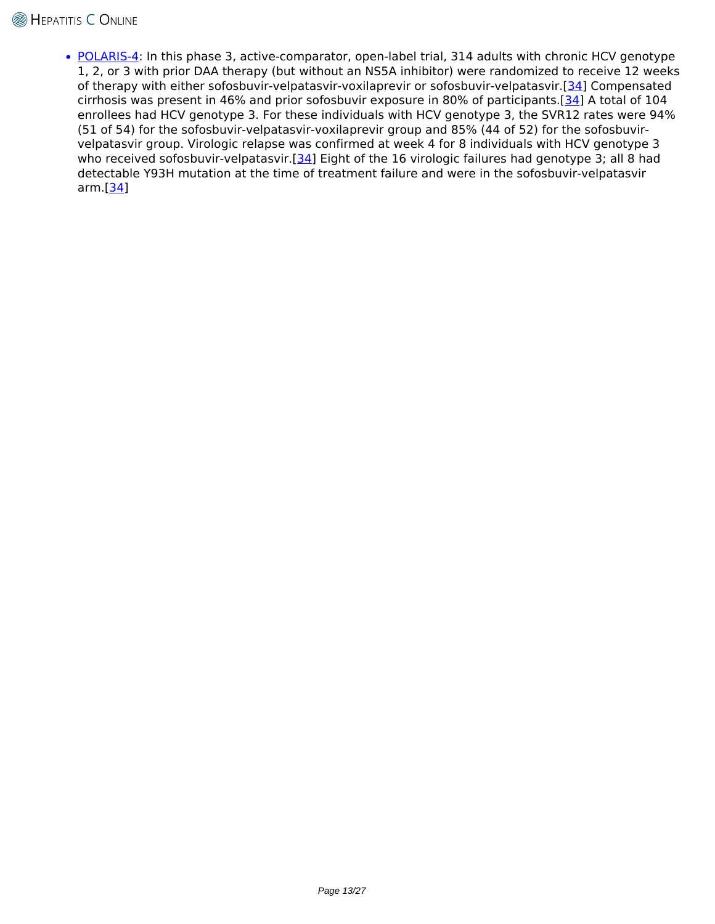• [POLARIS-4](https://www.hepatitisC.uw.edu/page/treatment/clinical-trials/120): In this phase 3, active-comparator, open-label trial, 314 adults with chronic HCV genotype 1, 2, or 3 with prior DAA therapy (but without an NS5A inhibitor) were randomized to receive 12 weeks of therapy with either sofosbuvir-velpatasvir-voxilaprevir or sofosbuvir-velpatasvir.[\[34\]](http://www.ncbi.nlm.nih.gov/pubmed/28564569) Compensated cirrhosis was present in 46% and prior sofosbuvir exposure in 80% of participants.[[34\]](http://www.ncbi.nlm.nih.gov/pubmed/28564569) A total of 104 enrollees had HCV genotype 3. For these individuals with HCV genotype 3, the SVR12 rates were 94% (51 of 54) for the sofosbuvir-velpatasvir-voxilaprevir group and 85% (44 of 52) for the sofosbuvirvelpatasvir group. Virologic relapse was confirmed at week 4 for 8 individuals with HCV genotype 3 who received sofosbuvir-velpatasvir.[\[34](http://www.ncbi.nlm.nih.gov/pubmed/28564569)] Eight of the 16 virologic failures had genotype 3; all 8 had detectable Y93H mutation at the time of treatment failure and were in the sofosbuvir-velpatasvir arm.[[34](http://www.ncbi.nlm.nih.gov/pubmed/28564569)]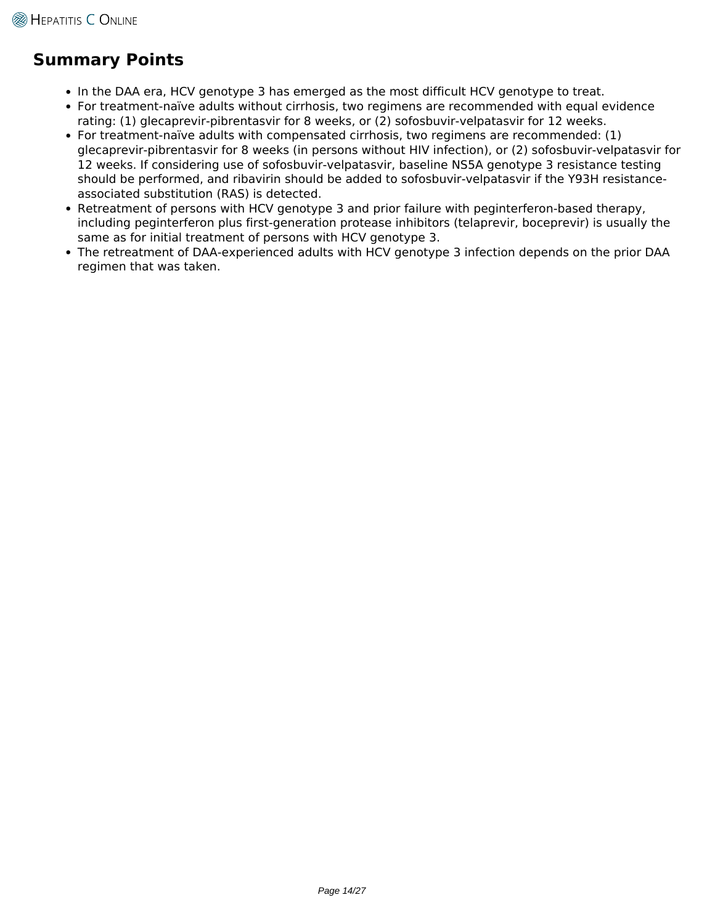# **Summary Points**

- In the DAA era, HCV genotype 3 has emerged as the most difficult HCV genotype to treat.
- For treatment-naïve adults without cirrhosis, two regimens are recommended with equal evidence rating: (1) glecaprevir-pibrentasvir for 8 weeks, or (2) sofosbuvir-velpatasvir for 12 weeks.
- For treatment-naïve adults with compensated cirrhosis, two regimens are recommended: (1) glecaprevir-pibrentasvir for 8 weeks (in persons without HIV infection), or (2) sofosbuvir-velpatasvir for 12 weeks. If considering use of sofosbuvir-velpatasvir, baseline NS5A genotype 3 resistance testing should be performed, and ribavirin should be added to sofosbuvir-velpatasvir if the Y93H resistanceassociated substitution (RAS) is detected.
- Retreatment of persons with HCV genotype 3 and prior failure with peginterferon-based therapy, including peginterferon plus first-generation protease inhibitors (telaprevir, boceprevir) is usually the same as for initial treatment of persons with HCV genotype 3.
- The retreatment of DAA-experienced adults with HCV genotype 3 infection depends on the prior DAA regimen that was taken.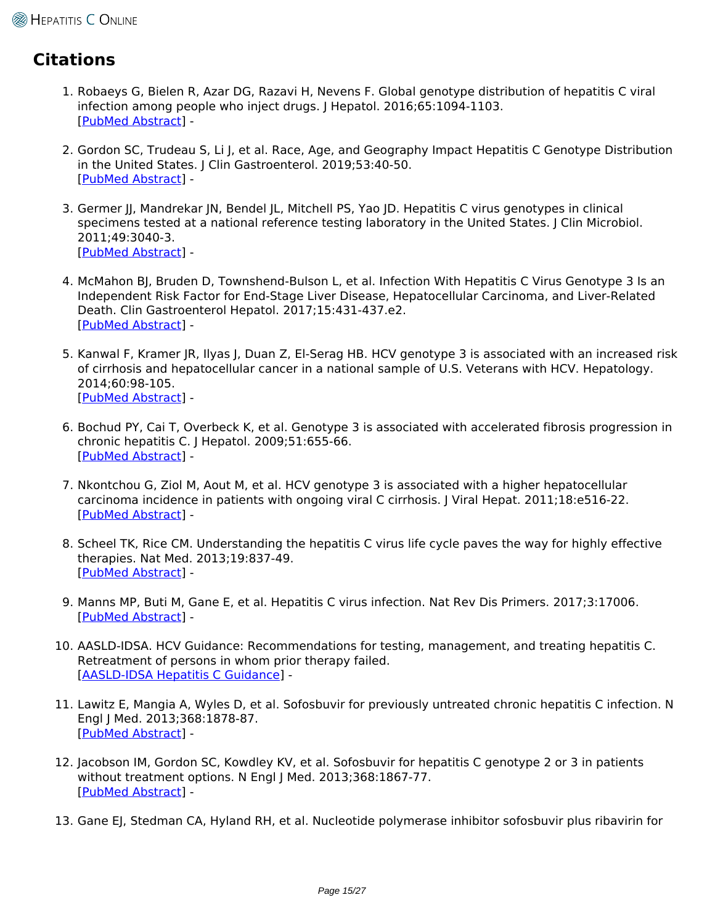# **Citations**

- 1. Robaeys G, Bielen R, Azar DG, Razavi H, Nevens F. Global genotype distribution of hepatitis C viral infection among people who inject drugs. J Hepatol. 2016;65:1094-1103. [\[PubMed Abstract](http://www.ncbi.nlm.nih.gov/pubmed/27520879)] -
- 2. Gordon SC, Trudeau S, Li J, et al. Race, Age, and Geography Impact Hepatitis C Genotype Distribution in the United States. | Clin Gastroenterol. 2019;53:40-50. [\[PubMed Abstract](http://www.ncbi.nlm.nih.gov/pubmed/28737649)] -
- 3. Germer JJ, Mandrekar JN, Bendel JL, Mitchell PS, Yao JD. Hepatitis C virus genotypes in clinical specimens tested at a national reference testing laboratory in the United States. J Clin Microbiol. 2011;49:3040-3. [\[PubMed Abstract](http://www.ncbi.nlm.nih.gov/pubmed/21613437)] -
- 4. McMahon BJ, Bruden D, Townshend-Bulson L, et al. Infection With Hepatitis C Virus Genotype 3 Is an Independent Risk Factor for End-Stage Liver Disease, Hepatocellular Carcinoma, and Liver-Related Death. Clin Gastroenterol Hepatol. 2017;15:431-437.e2. [\[PubMed Abstract](http://www.ncbi.nlm.nih.gov/pubmed/27765729)] -
- 5. Kanwal F, Kramer JR, Ilyas J, Duan Z, El-Serag HB. HCV genotype 3 is associated with an increased risk of cirrhosis and hepatocellular cancer in a national sample of U.S. Veterans with HCV. Hepatology. 2014;60:98-105. [\[PubMed Abstract](http://www.ncbi.nlm.nih.gov/pubmed/24615981)] -
- 6. Bochud PY, Cai T, Overbeck K, et al. Genotype 3 is associated with accelerated fibrosis progression in chronic hepatitis C. J Hepatol. 2009;51:655-66. [\[PubMed Abstract](http://www.ncbi.nlm.nih.gov/pubmed/19665246)] -
- 7. Nkontchou G, Ziol M, Aout M, et al. HCV genotype 3 is associated with a higher hepatocellular carcinoma incidence in patients with ongoing viral C cirrhosis. J Viral Hepat. 2011;18:e516-22. [\[PubMed Abstract](http://www.ncbi.nlm.nih.gov/pubmed/21914071)] -
- 8. Scheel TK, Rice CM. Understanding the hepatitis C virus life cycle paves the way for highly effective therapies. Nat Med. 2013;19:837-49. [\[PubMed Abstract](http://www.ncbi.nlm.nih.gov/pubmed/23836234)] -
- 9. Manns MP, Buti M, Gane E, et al. Hepatitis C virus infection. Nat Rev Dis Primers. 2017;3:17006. [\[PubMed Abstract](http://www.ncbi.nlm.nih.gov/pubmed/28252637)] -
- 10. AASLD-IDSA. HCV Guidance: Recommendations for testing, management, and treating hepatitis C. Retreatment of persons in whom prior therapy failed. [\[AASLD-IDSA Hepatitis C Guidance\]](https://www.hcvguidelines.org/treatment-experienced) -
- 11. Lawitz E, Mangia A, Wyles D, et al. Sofosbuvir for previously untreated chronic hepatitis C infection. N Engl J Med. 2013;368:1878-87. [\[PubMed Abstract](http://www.ncbi.nlm.nih.gov/pubmed/23607594)] -
- 12. Jacobson IM, Gordon SC, Kowdley KV, et al. Sofosbuvir for hepatitis C genotype 2 or 3 in patients without treatment options. N Engl J Med. 2013;368:1867-77. [\[PubMed Abstract](http://www.ncbi.nlm.nih.gov/pubmed/23607593)] -
- 13. Gane EJ, Stedman CA, Hyland RH, et al. Nucleotide polymerase inhibitor sofosbuvir plus ribavirin for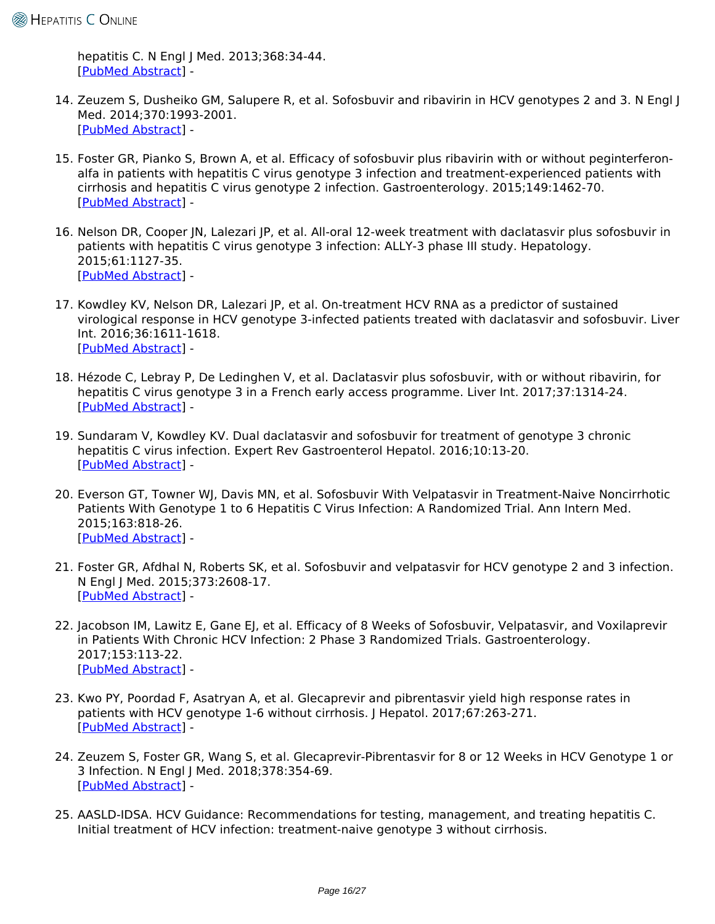hepatitis C. N Engl J Med. 2013;368:34-44. [\[PubMed Abstract](http://www.ncbi.nlm.nih.gov/pubmed/23281974)] -

- 14. Zeuzem S, Dusheiko GM, Salupere R, et al. Sofosbuvir and ribavirin in HCV genotypes 2 and 3. N Engl J Med. 2014;370:1993-2001. [\[PubMed Abstract](http://www.ncbi.nlm.nih.gov/pubmed/24795201)] -
- 15. Foster GR, Pianko S, Brown A, et al. Efficacy of sofosbuvir plus ribavirin with or without peginterferonalfa in patients with hepatitis C virus genotype 3 infection and treatment-experienced patients with cirrhosis and hepatitis C virus genotype 2 infection. Gastroenterology. 2015;149:1462-70. [\[PubMed Abstract](http://www.ncbi.nlm.nih.gov/pubmed/26248087)] -
- 16. Nelson DR, Cooper JN, Lalezari JP, et al. All-oral 12-week treatment with daclatasvir plus sofosbuvir in patients with hepatitis C virus genotype 3 infection: ALLY-3 phase III study. Hepatology. 2015;61:1127-35. [\[PubMed Abstract](http://www.ncbi.nlm.nih.gov/pubmed/25614962)] -
- 17. Kowdley KV, Nelson DR, Lalezari JP, et al. On-treatment HCV RNA as a predictor of sustained virological response in HCV genotype 3-infected patients treated with daclatasvir and sofosbuvir. Liver Int. 2016;36:1611-1618. [\[PubMed Abstract](http://www.ncbi.nlm.nih.gov/pubmed/27188960)] -
- 18. Hézode C, Lebray P, De Ledinghen V, et al. Daclatasvir plus sofosbuvir, with or without ribavirin, for hepatitis C virus genotype 3 in a French early access programme. Liver Int. 2017;37:1314-24. [\[PubMed Abstract](http://www.ncbi.nlm.nih.gov/pubmed/28177199)] -
- 19. Sundaram V, Kowdley KV. Dual daclatasvir and sofosbuvir for treatment of genotype 3 chronic hepatitis C virus infection. Expert Rev Gastroenterol Hepatol. 2016;10:13-20. [\[PubMed Abstract](http://www.ncbi.nlm.nih.gov/pubmed/26560449)] -
- 20. Everson GT, Towner WJ, Davis MN, et al. Sofosbuvir With Velpatasvir in Treatment-Naive Noncirrhotic Patients With Genotype 1 to 6 Hepatitis C Virus Infection: A Randomized Trial. Ann Intern Med. 2015;163:818-26. [\[PubMed Abstract](http://www.ncbi.nlm.nih.gov/pubmed/26551051)] -
- 21. Foster GR, Afdhal N, Roberts SK, et al. Sofosbuvir and velpatasvir for HCV genotype 2 and 3 infection. N Engl J Med. 2015;373:2608-17. [\[PubMed Abstract](http://www.ncbi.nlm.nih.gov/pubmed/26575258)] -
- 22. Jacobson IM, Lawitz E, Gane EJ, et al. Efficacy of 8 Weeks of Sofosbuvir, Velpatasvir, and Voxilaprevir in Patients With Chronic HCV Infection: 2 Phase 3 Randomized Trials. Gastroenterology. 2017;153:113-22. [\[PubMed Abstract](http://www.ncbi.nlm.nih.gov/pubmed/28390869)] -
- 23. Kwo PY, Poordad F, Asatryan A, et al. Glecaprevir and pibrentasvir yield high response rates in patients with HCV genotype 1-6 without cirrhosis. J Hepatol. 2017;67:263-271. [\[PubMed Abstract](http://www.ncbi.nlm.nih.gov/pubmed/28412293)] -
- 24. Zeuzem S, Foster GR, Wang S, et al. Glecaprevir-Pibrentasvir for 8 or 12 Weeks in HCV Genotype 1 or 3 Infection. N Engl J Med. 2018;378:354-69. [\[PubMed Abstract](http://www.ncbi.nlm.nih.gov/pubmed/29365309)] -
- 25. AASLD-IDSA. HCV Guidance: Recommendations for testing, management, and treating hepatitis C. Initial treatment of HCV infection: treatment-naive genotype 3 without cirrhosis.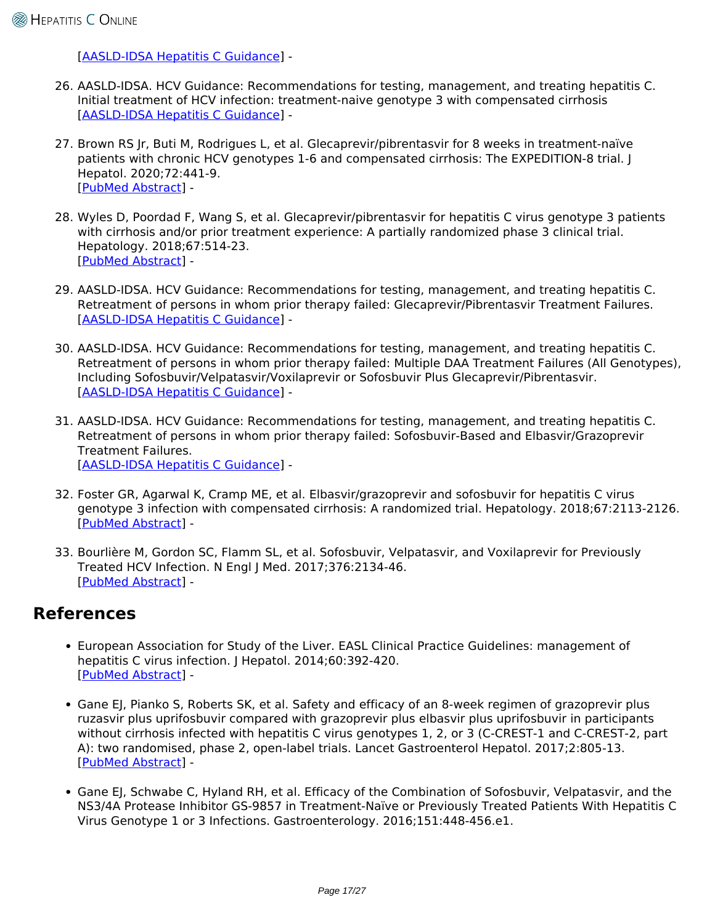[\[AASLD-IDSA Hepatitis C Guidance\]](https://www.hcvguidelines.org/treatment-naive/gt3/no-cirrhosis) -

- 26. AASLD-IDSA. HCV Guidance: Recommendations for testing, management, and treating hepatitis C. Initial treatment of HCV infection: treatment-naive genotype 3 with compensated cirrhosis [\[AASLD-IDSA Hepatitis C Guidance\]](https://www.hcvguidelines.org/treatment-naive/gt3/compensated-cirrhosis) -
- 27. Brown RS Jr, Buti M, Rodrigues L, et al. Glecaprevir/pibrentasvir for 8 weeks in treatment-naïve patients with chronic HCV genotypes 1-6 and compensated cirrhosis: The EXPEDITION-8 trial. J Hepatol. 2020;72:441-9. [\[PubMed Abstract](http://www.ncbi.nlm.nih.gov/pubmed/31682879)] -
- 28. Wyles D, Poordad F, Wang S, et al. Glecaprevir/pibrentasvir for hepatitis C virus genotype 3 patients with cirrhosis and/or prior treatment experience: A partially randomized phase 3 clinical trial. Hepatology. 2018;67:514-23. [\[PubMed Abstract](http://www.ncbi.nlm.nih.gov/pubmed/28926120)] -
- 29. AASLD-IDSA. HCV Guidance: Recommendations for testing, management, and treating hepatitis C. Retreatment of persons in whom prior therapy failed: Glecaprevir/Pibrentasvir Treatment Failures. [\[AASLD-IDSA Hepatitis C Guidance\]](https://www.hcvguidelines.org/treatment-experienced/g-p-failures) -
- 30. AASLD-IDSA. HCV Guidance: Recommendations for testing, management, and treating hepatitis C. Retreatment of persons in whom prior therapy failed: Multiple DAA Treatment Failures (All Genotypes), Including Sofosbuvir/Velpatasvir/Voxilaprevir or Sofosbuvir Plus Glecaprevir/Pibrentasvir. [\[AASLD-IDSA Hepatitis C Guidance\]](https://www.hcvguidelines.org/treatment-experienced/multiple-daa-failure) -
- 31. AASLD-IDSA. HCV Guidance: Recommendations for testing, management, and treating hepatitis C. Retreatment of persons in whom prior therapy failed: Sofosbuvir-Based and Elbasvir/Grazoprevir Treatment Failures. [\[AASLD-IDSA Hepatitis C Guidance\]](https://www.hcvguidelines.org/treatment-experienced/sof-and-elb-grz-failures) -
- 32. Foster GR, Agarwal K, Cramp ME, et al. Elbasvir/grazoprevir and sofosbuvir for hepatitis C virus genotype 3 infection with compensated cirrhosis: A randomized trial. Hepatology. 2018;67:2113-2126. [\[PubMed Abstract](http://www.ncbi.nlm.nih.gov/pubmed/29473975)] -
- 33. Bourlière M, Gordon SC, Flamm SL, et al. Sofosbuvir, Velpatasvir, and Voxilaprevir for Previously Treated HCV Infection. N Engl J Med. 2017;376:2134-46. [\[PubMed Abstract](http://www.ncbi.nlm.nih.gov/pubmed/28564569)] -

# **References**

- European Association for Study of the Liver. EASL Clinical Practice Guidelines: management of hepatitis C virus infection. J Hepatol. 2014;60:392-420. [\[PubMed Abstract](http://www.ncbi.nlm.nih.gov/pubmed/24331294)] -
- Gane EJ, Pianko S, Roberts SK, et al. Safety and efficacy of an 8-week regimen of grazoprevir plus ruzasvir plus uprifosbuvir compared with grazoprevir plus elbasvir plus uprifosbuvir in participants without cirrhosis infected with hepatitis C virus genotypes 1, 2, or 3 (C-CREST-1 and C-CREST-2, part A): two randomised, phase 2, open-label trials. Lancet Gastroenterol Hepatol. 2017;2:805-13. [\[PubMed Abstract](http://www.ncbi.nlm.nih.gov/pubmed/28802816)] -
- Gane EJ, Schwabe C, Hyland RH, et al. Efficacy of the Combination of Sofosbuvir, Velpatasvir, and the NS3/4A Protease Inhibitor GS-9857 in Treatment-Naïve or Previously Treated Patients With Hepatitis C Virus Genotype 1 or 3 Infections. Gastroenterology. 2016;151:448-456.e1.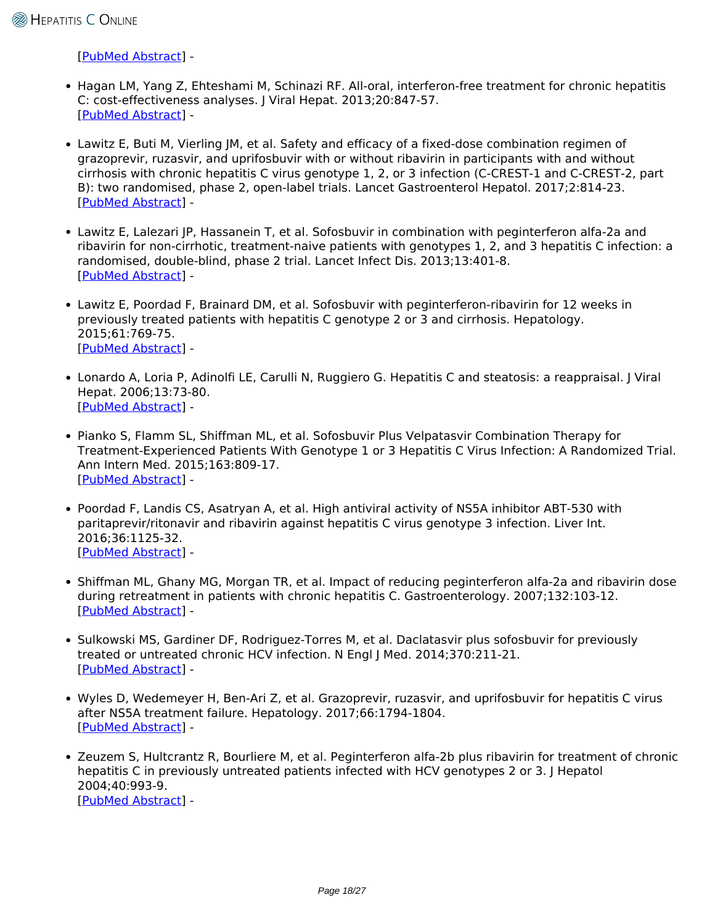[\[PubMed Abstract](http://www.ncbi.nlm.nih.gov/pubmed/27240903)] -

- Hagan LM, Yang Z, Ehteshami M, Schinazi RF. All-oral, interferon-free treatment for chronic hepatitis C: cost-effectiveness analyses. J Viral Hepat. 2013;20:847-57. [\[PubMed Abstract](http://www.ncbi.nlm.nih.gov/pubmed/24304454)] -
- Lawitz E, Buti M, Vierling JM, et al. Safety and efficacy of a fixed-dose combination regimen of grazoprevir, ruzasvir, and uprifosbuvir with or without ribavirin in participants with and without cirrhosis with chronic hepatitis C virus genotype 1, 2, or 3 infection (C-CREST-1 and C-CREST-2, part B): two randomised, phase 2, open-label trials. Lancet Gastroenterol Hepatol. 2017;2:814-23. [\[PubMed Abstract](http://www.ncbi.nlm.nih.gov/pubmed/28802814)] -
- Lawitz E, Lalezari JP, Hassanein T, et al. Sofosbuvir in combination with peginterferon alfa-2a and ribavirin for non-cirrhotic, treatment-naive patients with genotypes 1, 2, and 3 hepatitis C infection: a randomised, double-blind, phase 2 trial. Lancet Infect Dis. 2013;13:401-8. [\[PubMed Abstract](http://www.ncbi.nlm.nih.gov/pubmed/23499158)] -
- Lawitz E, Poordad F, Brainard DM, et al. Sofosbuvir with peginterferon-ribavirin for 12 weeks in previously treated patients with hepatitis C genotype 2 or 3 and cirrhosis. Hepatology. 2015;61:769-75. [\[PubMed Abstract](http://www.ncbi.nlm.nih.gov/pubmed/25322962)] -
- Lonardo A, Loria P, Adinolfi LE, Carulli N, Ruggiero G. Hepatitis C and steatosis: a reappraisal. J Viral Hepat. 2006;13:73-80. [\[PubMed Abstract](http://www.ncbi.nlm.nih.gov/pubmed/16436124)] -
- Pianko S, Flamm SL, Shiffman ML, et al. Sofosbuvir Plus Velpatasvir Combination Therapy for Treatment-Experienced Patients With Genotype 1 or 3 Hepatitis C Virus Infection: A Randomized Trial. Ann Intern Med. 2015;163:809-17. [\[PubMed Abstract](http://www.ncbi.nlm.nih.gov/pubmed/26551263)] -
- Poordad F, Landis CS, Asatryan A, et al. High antiviral activity of NS5A inhibitor ABT-530 with paritaprevir/ritonavir and ribavirin against hepatitis C virus genotype 3 infection. Liver Int. 2016;36:1125-32. [\[PubMed Abstract](http://www.ncbi.nlm.nih.gov/pubmed/26778412)] -
- Shiffman ML, Ghany MG, Morgan TR, et al. Impact of reducing peginterferon alfa-2a and ribavirin dose during retreatment in patients with chronic hepatitis C. Gastroenterology. 2007;132:103-12. [\[PubMed Abstract](http://www.ncbi.nlm.nih.gov/pubmed/17241864)] -
- Sulkowski MS, Gardiner DF, Rodriguez-Torres M, et al. Daclatasvir plus sofosbuvir for previously treated or untreated chronic HCV infection. N Engl J Med. 2014;370:211-21. [\[PubMed Abstract](http://www.ncbi.nlm.nih.gov/pubmed/24428467)] -
- Wyles D, Wedemeyer H, Ben-Ari Z, et al. Grazoprevir, ruzasvir, and uprifosbuvir for hepatitis C virus after NS5A treatment failure. Hepatology. 2017;66:1794-1804. [\[PubMed Abstract](http://www.ncbi.nlm.nih.gov/pubmed/28688129)] -
- Zeuzem S, Hultcrantz R, Bourliere M, et al. Peginterferon alfa-2b plus ribavirin for treatment of chronic hepatitis C in previously untreated patients infected with HCV genotypes 2 or 3. J Hepatol 2004;40:993-9. [\[PubMed Abstract](http://www.ncbi.nlm.nih.gov/pubmed/15158341)] -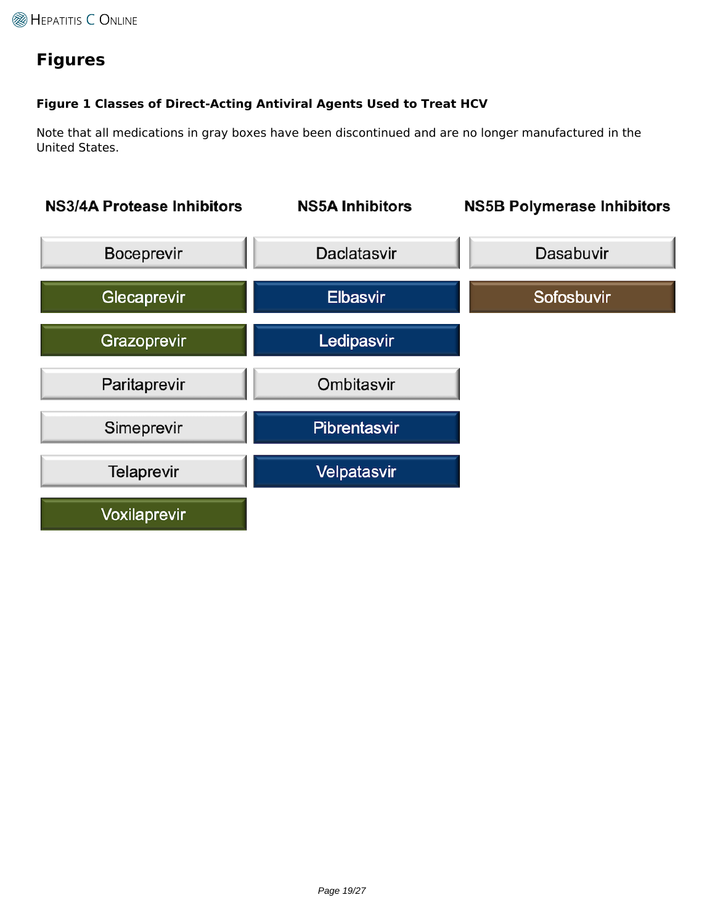# **Figures**

### **Figure 1 Classes of Direct-Acting Antiviral Agents Used to Treat HCV**

Note that all medications in gray boxes have been discontinued and are no longer manufactured in the United States.

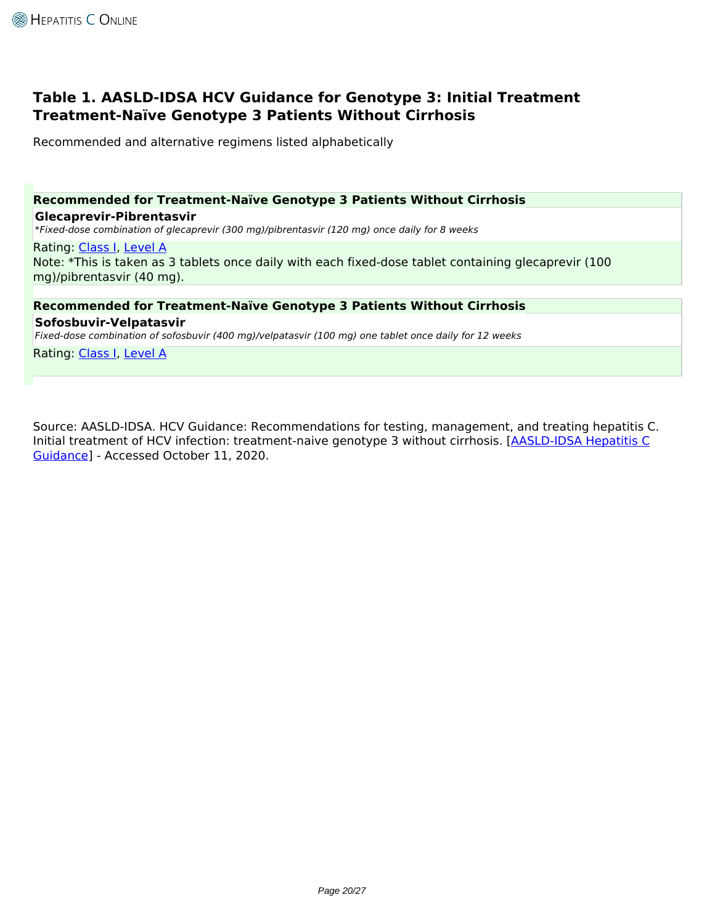## **Table 1. AASLD-IDSA HCV Guidance for Genotype 3: Initial Treatment Treatment-Naïve Genotype 3 Patients Without Cirrhosis**

Recommended and alternative regimens listed alphabetically

## **Recommended for Treatment-Naïve Genotype 3 Patients Without Cirrhosis**

#### **Glecaprevir-Pibrentasvir**

*\*Fixed-dose combination of glecaprevir (300 mg)/pibrentasvir (120 mg) once daily for 8 weeks*

#### Rating: [Class I,](https://www.hepatitisC.uw.edu/page/treatment/ratings#class-1) [Level A](https://www.hepatitisC.uw.edu/page/treatment/ratings#level-1)

Note: \*This is taken as 3 tablets once daily with each fixed-dose tablet containing glecaprevir (100 mg)/pibrentasvir (40 mg).

## **Recommended for Treatment-Naïve Genotype 3 Patients Without Cirrhosis**

### **Sofosbuvir-Velpatasvir**

*Fixed-dose combination of sofosbuvir (400 mg)/velpatasvir (100 mg) one tablet once daily for 12 weeks*

Rating: [Class I,](https://www.hepatitisC.uw.edu/page/treatment/ratings#class-1) [Level A](https://www.hepatitisC.uw.edu/page/treatment/ratings#level-1)

Source: AASLD-IDSA. HCV Guidance: Recommendations for testing, management, and treating hepatitis C. Initial treatment of HCV infection: treatment-naive genotype 3 without cirrhosis. [[AASLD-IDSA Hepatitis C](https://www.hcvguidelines.org/treatment-naive/gt3/no-cirrhosis) [Guidance\]](https://www.hcvguidelines.org/treatment-naive/gt3/no-cirrhosis) - Accessed October 11, 2020.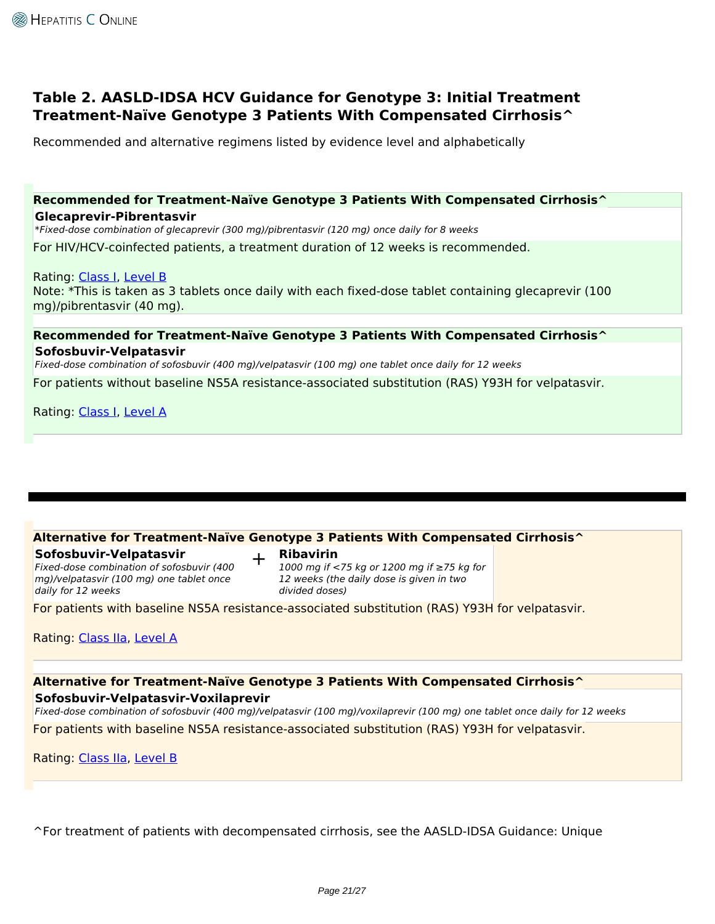## **Table 2. AASLD-IDSA HCV Guidance for Genotype 3: Initial Treatment Treatment-Naïve Genotype 3 Patients With Compensated Cirrhosis^**

Recommended and alternative regimens listed by evidence level and alphabetically

### **Recommended for Treatment-Naïve Genotype 3 Patients With Compensated Cirrhosis^ Glecaprevir-Pibrentasvir**

*\*Fixed-dose combination of glecaprevir (300 mg)/pibrentasvir (120 mg) once daily for 8 weeks*

For HIV/HCV-coinfected patients, a treatment duration of 12 weeks is recommended.

Rating: [Class I,](https://www.hepatitisC.uw.edu/page/treatment/ratings#class-1) [Level B](https://www.hepatitisC.uw.edu/page/treatment/ratings#level-2) Note: \*This is taken as 3 tablets once daily with each fixed-dose tablet containing glecaprevir (100 mg)/pibrentasvir (40 mg).

### **Recommended for Treatment-Naïve Genotype 3 Patients With Compensated Cirrhosis^ Sofosbuvir-Velpatasvir**

*Fixed-dose combination of sofosbuvir (400 mg)/velpatasvir (100 mg) one tablet once daily for 12 weeks* For patients without baseline NS5A resistance-associated substitution (RAS) Y93H for velpatasvir.

Rating: [Class I,](https://www.hepatitisC.uw.edu/page/treatment/ratings#class-1) [Level A](https://www.hepatitisC.uw.edu/page/treatment/ratings#level-1)

### **Alternative for Treatment-Naïve Genotype 3 Patients With Compensated Cirrhosis^**

**Sofosbuvir-Velpatasvir**

+ **Ribavirin**

*Fixed-dose combination of sofosbuvir (400 mg)/velpatasvir (100 mg) one tablet once daily for 12 weeks*

*1000 mg if <75 kg or 1200 mg if ≥75 kg for 12 weeks (the daily dose is given in two divided doses)*

For patients with baseline NS5A resistance-associated substitution (RAS) Y93H for velpatasvir.

Rating: [Class IIa,](https://www.hepatitisC.uw.edu/page/treatment/ratings#class-3) [Level A](https://www.hepatitisC.uw.edu/page/treatment/ratings#level-1)

### **Alternative for Treatment-Naïve Genotype 3 Patients With Compensated Cirrhosis^ Sofosbuvir-Velpatasvir-Voxilaprevir**

*Fixed-dose combination of sofosbuvir (400 mg)/velpatasvir (100 mg)/voxilaprevir (100 mg) one tablet once daily for 12 weeks* For patients with baseline NS5A resistance-associated substitution (RAS) Y93H for velpatasvir.

Rating: [Class IIa,](https://www.hepatitisC.uw.edu/page/treatment/ratings#class-3) [Level B](https://www.hepatitisC.uw.edu/page/treatment/ratings#level-2)

^For treatment of patients with decompensated cirrhosis, see the AASLD-IDSA Guidance: Unique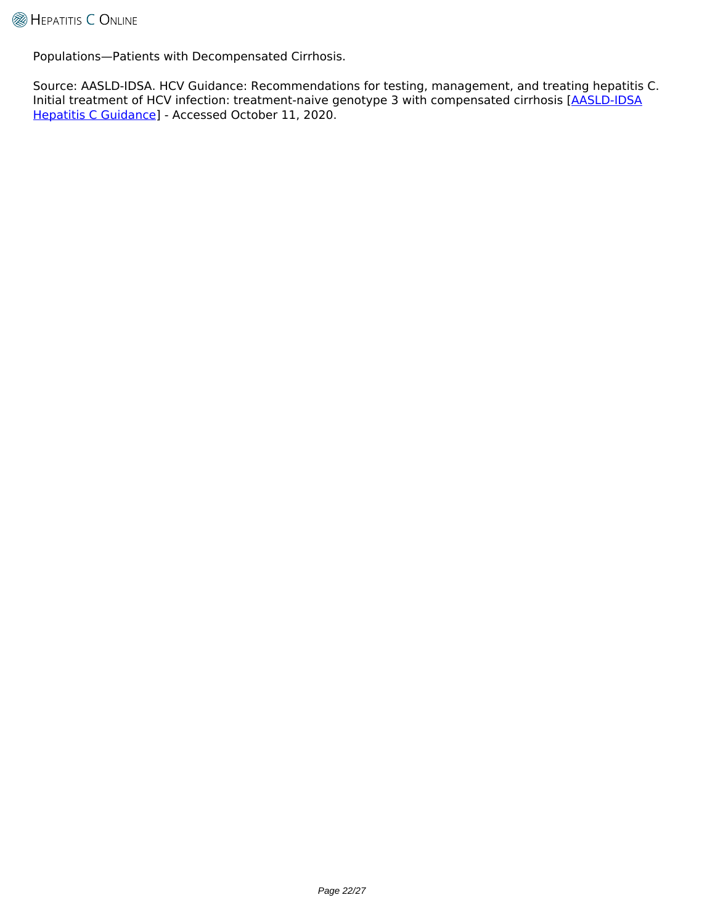Populations—Patients with Decompensated Cirrhosis.

Source: AASLD-IDSA. HCV Guidance: Recommendations for testing, management, and treating hepatitis C. Initial treatment of HCV infection: treatment-naive genotype 3 with compensated cirrhosis [\[AASLD-IDSA](https://www.hcvguidelines.org/treatment-naive/gt3/compensated-cirrhosis) [Hepatitis C Guidance\]](https://www.hcvguidelines.org/treatment-naive/gt3/compensated-cirrhosis) - Accessed October 11, 2020.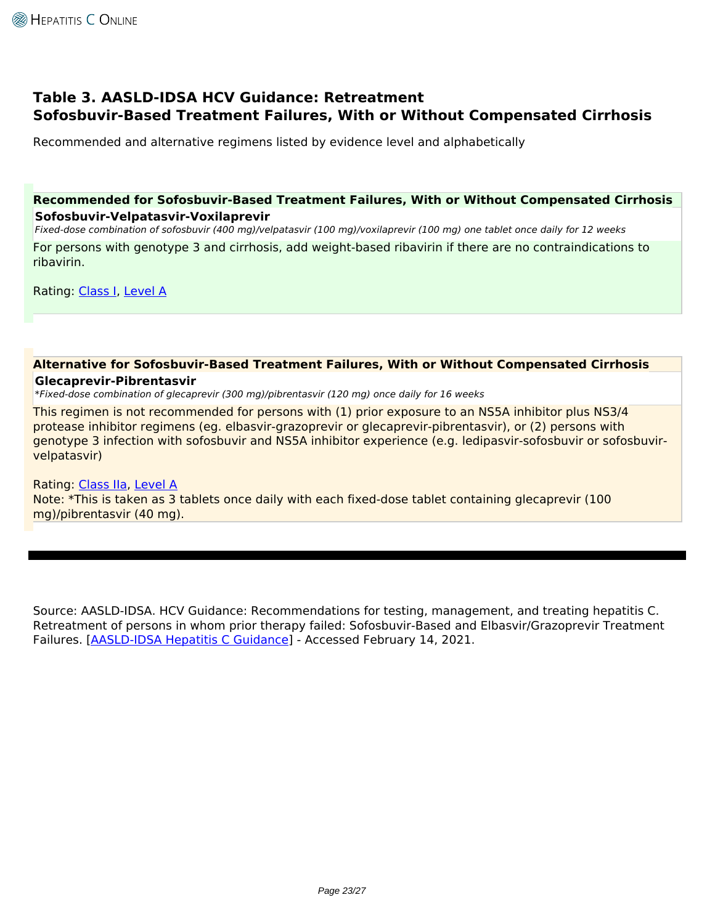## **Table 3. AASLD-IDSA HCV Guidance: Retreatment Sofosbuvir-Based Treatment Failures, With or Without Compensated Cirrhosis**

Recommended and alternative regimens listed by evidence level and alphabetically

### **Recommended for Sofosbuvir-Based Treatment Failures, With or Without Compensated Cirrhosis Sofosbuvir-Velpatasvir-Voxilaprevir**

*Fixed-dose combination of sofosbuvir (400 mg)/velpatasvir (100 mg)/voxilaprevir (100 mg) one tablet once daily for 12 weeks* For persons with genotype 3 and cirrhosis, add weight-based ribavirin if there are no contraindications to ribavirin.

Rating: [Class I,](https://www.hepatitisC.uw.edu/page/treatment/ratings#class-1) [Level A](https://www.hepatitisC.uw.edu/page/treatment/ratings#level-1)

#### **Alternative for Sofosbuvir-Based Treatment Failures, With or Without Compensated Cirrhosis Glecaprevir-Pibrentasvir**

*\*Fixed-dose combination of glecaprevir (300 mg)/pibrentasvir (120 mg) once daily for 16 weeks*

This regimen is not recommended for persons with (1) prior exposure to an NS5A inhibitor plus NS3/4 protease inhibitor regimens (eg. elbasvir-grazoprevir or glecaprevir-pibrentasvir), or (2) persons with genotype 3 infection with sofosbuvir and NS5A inhibitor experience (e.g. ledipasvir-sofosbuvir or sofosbuvirvelpatasvir)

#### Rating: [Class IIa,](https://www.hepatitisC.uw.edu/page/treatment/ratings#class-3) [Level A](https://www.hepatitisC.uw.edu/page/treatment/ratings#level-1)

Note: \*This is taken as 3 tablets once daily with each fixed-dose tablet containing glecaprevir (100 mg)/pibrentasvir (40 mg).

Source: AASLD-IDSA. HCV Guidance: Recommendations for testing, management, and treating hepatitis C. Retreatment of persons in whom prior therapy failed: Sofosbuvir-Based and Elbasvir/Grazoprevir Treatment Failures. [[AASLD-IDSA Hepatitis C Guidance](https://www.hcvguidelines.org/treatment-experienced/sof-and-elb-grz-failures)] - Accessed February 14, 2021.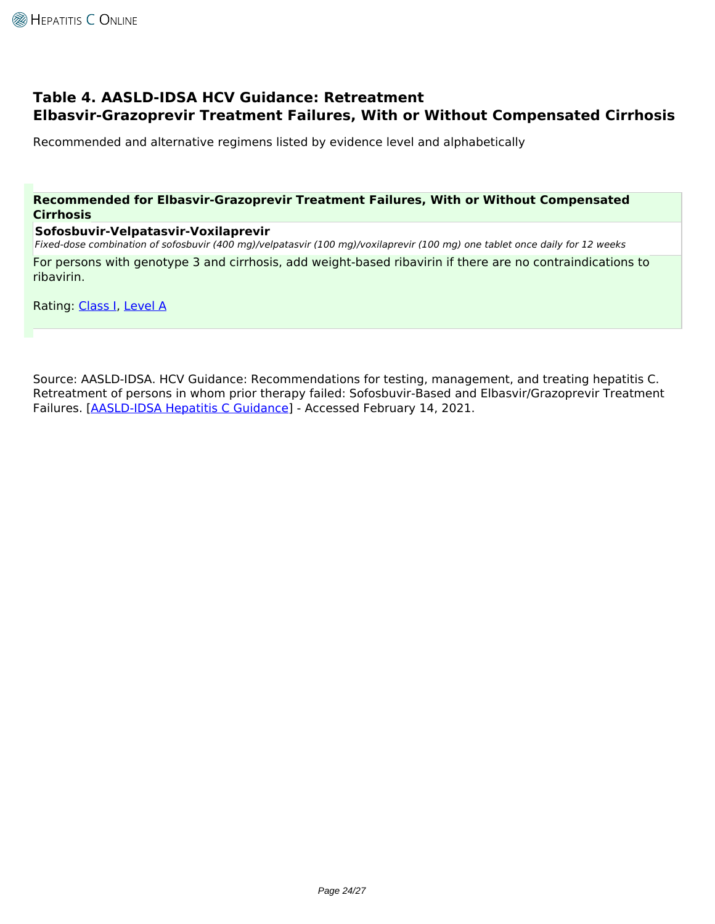## **Table 4. AASLD-IDSA HCV Guidance: Retreatment Elbasvir-Grazoprevir Treatment Failures, With or Without Compensated Cirrhosis**

Recommended and alternative regimens listed by evidence level and alphabetically

### **Recommended for Elbasvir-Grazoprevir Treatment Failures, With or Without Compensated Cirrhosis**

#### **Sofosbuvir-Velpatasvir-Voxilaprevir**

*Fixed-dose combination of sofosbuvir (400 mg)/velpatasvir (100 mg)/voxilaprevir (100 mg) one tablet once daily for 12 weeks*

For persons with genotype 3 and cirrhosis, add weight-based ribavirin if there are no contraindications to ribavirin.

Rating: [Class I,](https://www.hepatitisC.uw.edu/page/treatment/ratings#class-1) [Level A](https://www.hepatitisC.uw.edu/page/treatment/ratings#level-1)

Source: AASLD-IDSA. HCV Guidance: Recommendations for testing, management, and treating hepatitis C. Retreatment of persons in whom prior therapy failed: Sofosbuvir-Based and Elbasvir/Grazoprevir Treatment Failures. [[AASLD-IDSA Hepatitis C Guidance](https://www.hcvguidelines.org/treatment-experienced/sof-and-elb-grz-failures)] - Accessed February 14, 2021.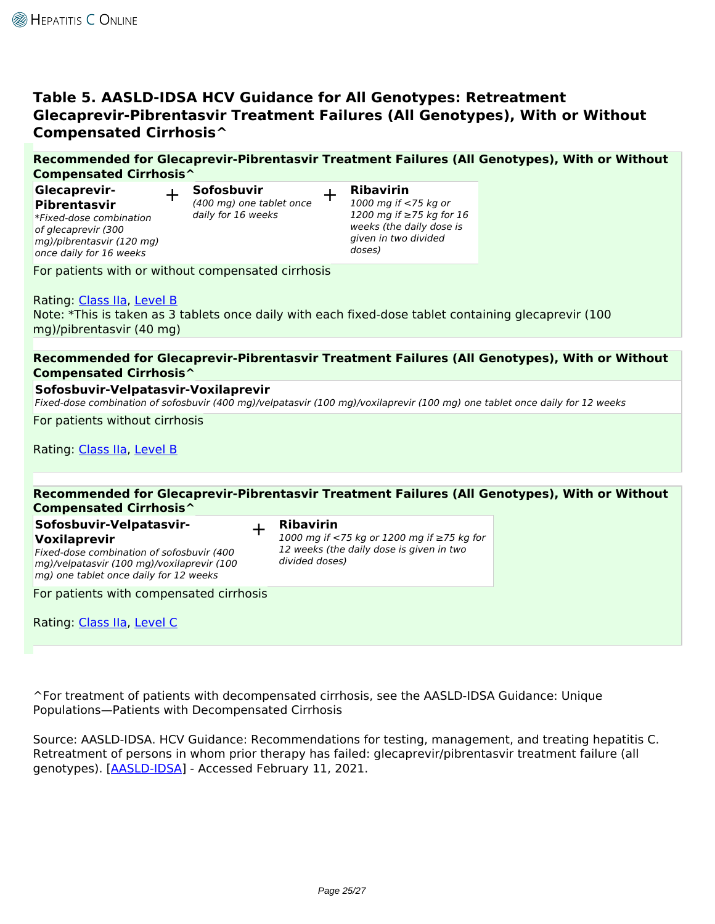## **Table 5. AASLD-IDSA HCV Guidance for All Genotypes: Retreatment Glecaprevir-Pibrentasvir Treatment Failures (All Genotypes), With or Without Compensated Cirrhosis^**

## **Recommended for Glecaprevir-Pibrentasvir Treatment Failures (All Genotypes), With or Without Compensated Cirrhosis^**

**Glecaprevir-Pibrentasvir** *\*Fixed-dose combination of glecaprevir (300 mg)/pibrentasvir (120 mg) once daily for 16 weeks*

+ **Sofosbuvir** *(400 mg) one tablet once daily for 16 weeks*

+ **Ribavirin**

*1000 mg if <75 kg or 1200 mg if ≥75 kg for 16 weeks (the daily dose is given in two divided doses)*

For patients with or without compensated cirrhosis

### Rating: [Class IIa,](https://www.hepatitisC.uw.edu/page/treatment/ratings#class-3) [Level B](https://www.hepatitisC.uw.edu/page/treatment/ratings#level-2)

Note: \*This is taken as 3 tablets once daily with each fixed-dose tablet containing glecaprevir (100 mg)/pibrentasvir (40 mg)

### **Recommended for Glecaprevir-Pibrentasvir Treatment Failures (All Genotypes), With or Without Compensated Cirrhosis^**

### **Sofosbuvir-Velpatasvir-Voxilaprevir**

*Fixed-dose combination of sofosbuvir (400 mg)/velpatasvir (100 mg)/voxilaprevir (100 mg) one tablet once daily for 12 weeks*

For patients without cirrhosis

Rating: [Class IIa,](https://www.hepatitisC.uw.edu/page/treatment/ratings#class-3) [Level B](https://www.hepatitisC.uw.edu/page/treatment/ratings#level-2)

#### **Recommended for Glecaprevir-Pibrentasvir Treatment Failures (All Genotypes), With or Without Compensated Cirrhosis^ Sofosbuvir-Velpatasvir-Voxilaprevir** *Fixed-dose combination of sofosbuvir (400 mg)/velpatasvir (100 mg)/voxilaprevir (100 mg) one tablet once daily for 12 weeks* + **Ribavirin** *1000 mg if <75 kg or 1200 mg if ≥75 kg for 12 weeks (the daily dose is given in two divided doses)* For patients with compensated cirrhosis Rating: [Class IIa,](https://www.hepatitisC.uw.edu/page/treatment/ratings#class-3) [Level C](https://www.hepatitisC.uw.edu/page/treatment/ratings#level-3)

^For treatment of patients with decompensated cirrhosis, see the AASLD-IDSA Guidance: Unique Populations—Patients with Decompensated Cirrhosis

Source: AASLD-IDSA. HCV Guidance: Recommendations for testing, management, and treating hepatitis C. Retreatment of persons in whom prior therapy has failed: glecaprevir/pibrentasvir treatment failure (all genotypes). [\[AASLD-IDSA\]](https://www.hcvguidelines.org/treatment-experienced/g-p-failures) - Accessed February 11, 2021.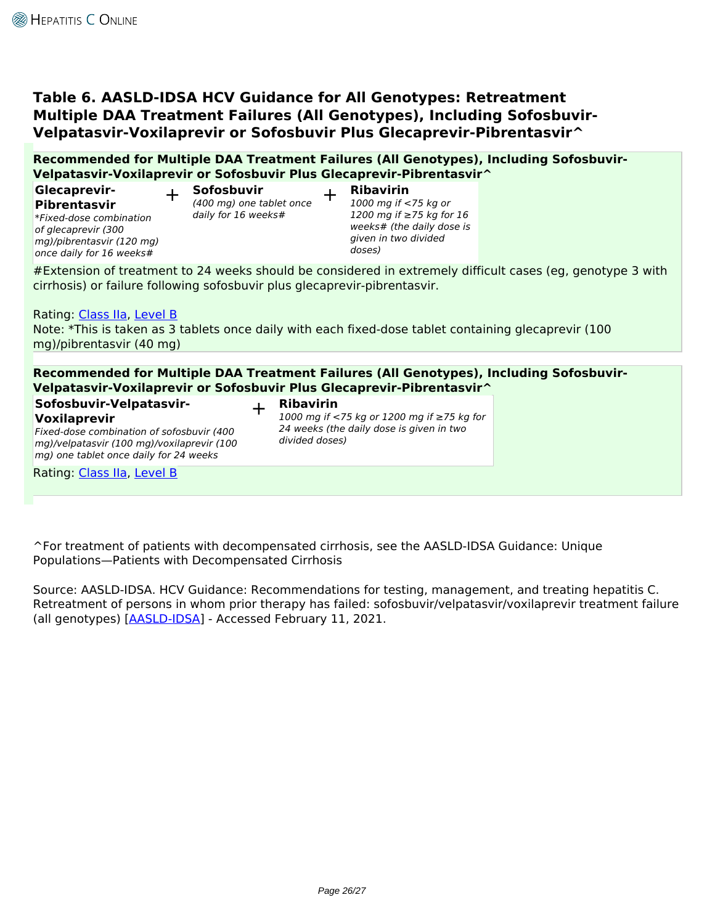## **Table 6. AASLD-IDSA HCV Guidance for All Genotypes: Retreatment Multiple DAA Treatment Failures (All Genotypes), Including Sofosbuvir-Velpatasvir-Voxilaprevir or Sofosbuvir Plus Glecaprevir-Pibrentasvir^**

**Recommended for Multiple DAA Treatment Failures (All Genotypes), Including Sofosbuvir-Velpatasvir-Voxilaprevir or Sofosbuvir Plus Glecaprevir-Pibrentasvir^**

**Glecaprevir-Pibrentasvir**

*\*Fixed-dose combination of glecaprevir (300 mg)/pibrentasvir (120 mg) once daily for 16 weeks#*

+ **Sofosbuvir** *(400 mg) one tablet once daily for 16 weeks#*

+ **Ribavirin** *1000 mg if <75 kg or*

*1200 mg if ≥75 kg for 16 weeks# (the daily dose is given in two divided doses)*

#Extension of treatment to 24 weeks should be considered in extremely difficult cases (eg, genotype 3 with cirrhosis) or failure following sofosbuvir plus glecaprevir-pibrentasvir.

Rating: [Class IIa,](https://www.hepatitisC.uw.edu/page/treatment/ratings#class-3) [Level B](https://www.hepatitisC.uw.edu/page/treatment/ratings#level-2)

Note: \*This is taken as 3 tablets once daily with each fixed-dose tablet containing glecaprevir (100 mg)/pibrentasvir (40 mg)

### **Recommended for Multiple DAA Treatment Failures (All Genotypes), Including Sofosbuvir-Velpatasvir-Voxilaprevir or Sofosbuvir Plus Glecaprevir-Pibrentasvir^**

- **Sofosbuvir-Velpatasvir-Voxilaprevir**
- + **Ribavirin**

*Fixed-dose combination of sofosbuvir (400 mg)/velpatasvir (100 mg)/voxilaprevir (100 mg) one tablet once daily for 24 weeks*

*1000 mg if <75 kg or 1200 mg if ≥75 kg for 24 weeks (the daily dose is given in two divided doses)*

Rating: [Class IIa,](https://www.hepatitisC.uw.edu/page/treatment/ratings#class-3) [Level B](https://www.hepatitisC.uw.edu/page/treatment/ratings#level-2)

^For treatment of patients with decompensated cirrhosis, see the AASLD-IDSA Guidance: Unique Populations—Patients with Decompensated Cirrhosis

Source: AASLD-IDSA. HCV Guidance: Recommendations for testing, management, and treating hepatitis C. Retreatment of persons in whom prior therapy has failed: sofosbuvir/velpatasvir/voxilaprevir treatment failure (all genotypes) [[AASLD-IDSA](https://www.hcvguidelines.org/treatment-experienced/multiple-daa-failure)] - Accessed February 11, 2021.